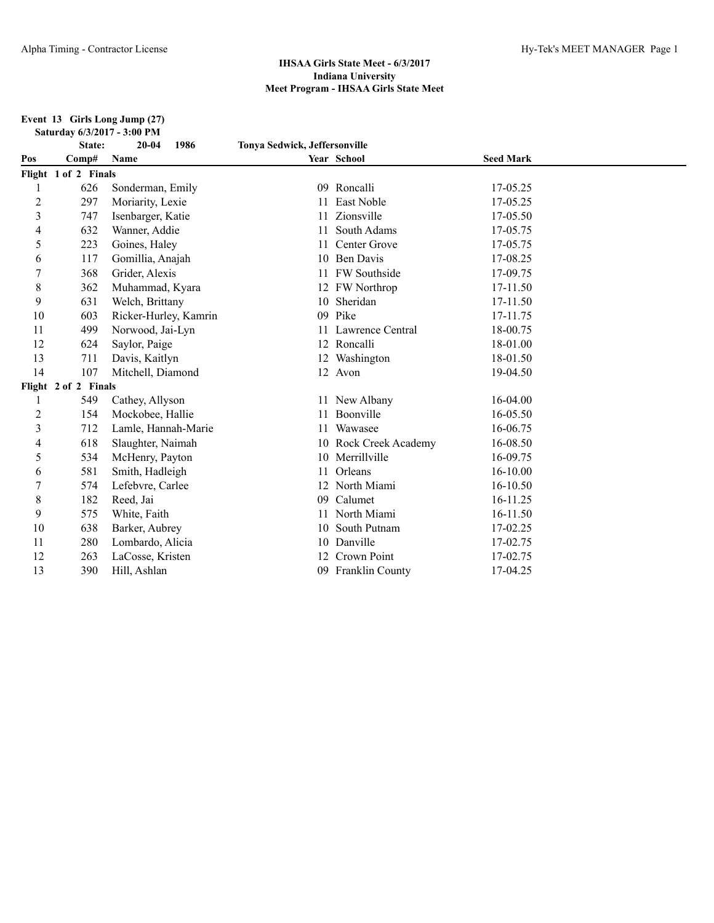**Event 13 Girls Long Jump (27) Saturday 6/3/2017 - 3:00 PM**

|                | State:               | $20 - 04$<br>1986     | Tonya Sedwick, Jeffersonville |                       |                  |  |
|----------------|----------------------|-----------------------|-------------------------------|-----------------------|------------------|--|
| Pos            | Comp#                | <b>Name</b>           |                               | Year School           | <b>Seed Mark</b> |  |
|                | Flight 1 of 2 Finals |                       |                               |                       |                  |  |
|                | 626                  | Sonderman, Emily      | 09                            | Roncalli              | 17-05.25         |  |
| $\overline{c}$ | 297                  | Moriarity, Lexie      |                               | <b>East Noble</b>     | 17-05.25         |  |
| 3              | 747                  | Isenbarger, Katie     |                               | Zionsville            | 17-05.50         |  |
| 4              | 632                  | Wanner, Addie         |                               | South Adams           | 17-05.75         |  |
| 5              | 223                  | Goines, Haley         | 11                            | Center Grove          | 17-05.75         |  |
| 6              | 117                  | Gomillia, Anajah      | 10                            | <b>Ben Davis</b>      | 17-08.25         |  |
| 7              | 368                  | Grider, Alexis        | 11                            | <b>FW</b> Southside   | 17-09.75         |  |
| 8              | 362                  | Muhammad, Kyara       |                               | 12 FW Northrop        | 17-11.50         |  |
| 9              | 631                  | Welch, Brittany       | 10                            | Sheridan              | 17-11.50         |  |
| 10             | 603                  | Ricker-Hurley, Kamrin | 09                            | Pike                  | 17-11.75         |  |
| 11             | 499                  | Norwood, Jai-Lyn      | 11                            | Lawrence Central      | 18-00.75         |  |
| 12             | 624                  | Saylor, Paige         |                               | 12 Roncalli           | 18-01.00         |  |
| 13             | 711                  | Davis, Kaitlyn        |                               | 12 Washington         | 18-01.50         |  |
| 14             | 107                  | Mitchell, Diamond     |                               | 12 Avon               | 19-04.50         |  |
|                | Flight 2 of 2 Finals |                       |                               |                       |                  |  |
| 1              | 549                  | Cathey, Allyson       |                               | 11 New Albany         | 16-04.00         |  |
| 2              | 154                  | Mockobee, Hallie      | 11                            | Boonville             | 16-05.50         |  |
| 3              | 712                  | Lamle, Hannah-Marie   |                               | Wawasee               | 16-06.75         |  |
| 4              | 618                  | Slaughter, Naimah     |                               | 10 Rock Creek Academy | 16-08.50         |  |
| 5              | 534                  | McHenry, Payton       |                               | 10 Merrillville       | 16-09.75         |  |
| 6              | 581                  | Smith, Hadleigh       |                               | Orleans               | $16 - 10.00$     |  |
| 7              | 574                  | Lefebvre, Carlee      |                               | 12 North Miami        | 16-10.50         |  |
| $\,8\,$        | 182                  | Reed, Jai             | 09                            | Calumet               | 16-11.25         |  |
| 9              | 575                  | White, Faith          | 11                            | North Miami           | 16-11.50         |  |
| 10             | 638                  | Barker, Aubrey        |                               | South Putnam          | 17-02.25         |  |
| 11             | 280                  | Lombardo, Alicia      | 10                            | Danville              | 17-02.75         |  |
| 12             | 263                  | LaCosse, Kristen      |                               | Crown Point           | 17-02.75         |  |
| 13             | 390                  | Hill, Ashlan          | 09                            | Franklin County       | 17-04.25         |  |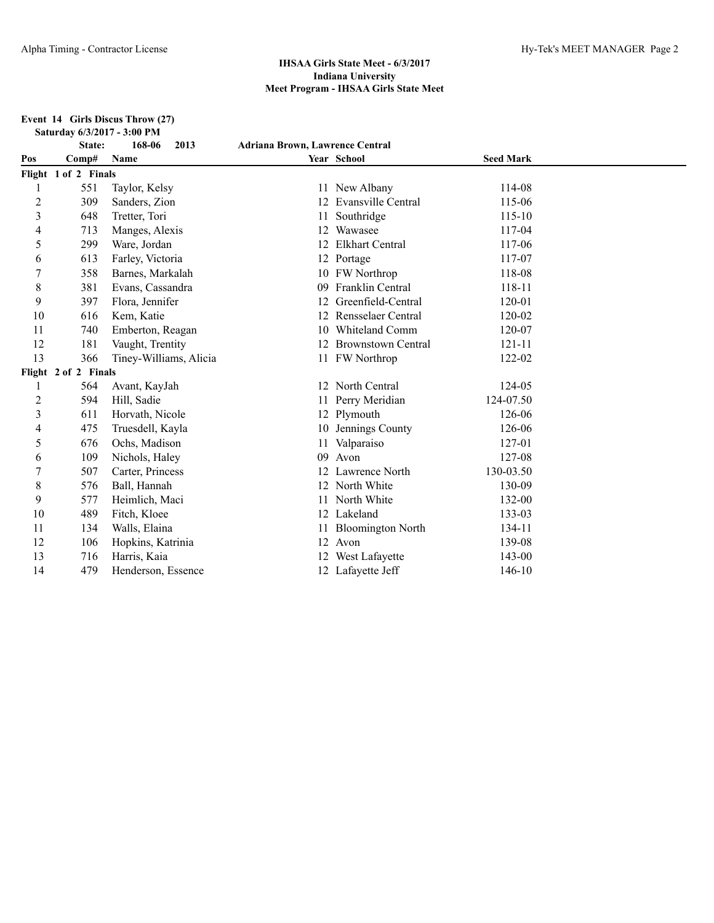**Event 14 Girls Discus Throw (27) Saturday 6/3/2017 - 3:00 PM**

|                | State:               | 168-06<br>2013         | <b>Adriana Brown, Lawrence Central</b> |                           |                  |  |
|----------------|----------------------|------------------------|----------------------------------------|---------------------------|------------------|--|
| Pos            | Comp#                | Name                   |                                        | Year School               | <b>Seed Mark</b> |  |
|                | Flight 1 of 2 Finals |                        |                                        |                           |                  |  |
|                | 551                  | Taylor, Kelsy          |                                        | 11 New Albany             | 114-08           |  |
| $\overline{c}$ | 309                  | Sanders, Zion          | 12                                     | Evansville Central        | 115-06           |  |
| 3              | 648                  | Tretter, Tori          | 11                                     | Southridge                | $115 - 10$       |  |
| 4              | 713                  | Manges, Alexis         | 12                                     | Wawasee                   | 117-04           |  |
| 5              | 299                  | Ware, Jordan           |                                        | <b>Elkhart Central</b>    | 117-06           |  |
| 6              | 613                  | Farley, Victoria       |                                        | 12 Portage                | 117-07           |  |
| 7              | 358                  | Barnes, Markalah       |                                        | 10 FW Northrop            | 118-08           |  |
| 8              | 381                  | Evans, Cassandra       | 09                                     | Franklin Central          | 118-11           |  |
| 9              | 397                  | Flora, Jennifer        | 12                                     | Greenfield-Central        | 120-01           |  |
| 10             | 616                  | Kem, Katie             |                                        | Rensselaer Central        | 120-02           |  |
| 11             | 740                  | Emberton, Reagan       | 10                                     | Whiteland Comm            | 120-07           |  |
| 12             | 181                  | Vaught, Trentity       | 12                                     | <b>Brownstown Central</b> | $121 - 11$       |  |
| 13             | 366                  | Tiney-Williams, Alicia |                                        | 11 FW Northrop            | 122-02           |  |
|                | Flight 2 of 2 Finals |                        |                                        |                           |                  |  |
| 1              | 564                  | Avant, KayJah          |                                        | 12 North Central          | 124-05           |  |
| 2              | 594                  | Hill, Sadie            |                                        | Perry Meridian            | 124-07.50        |  |
| 3              | 611                  | Horvath, Nicole        |                                        | 12 Plymouth               | 126-06           |  |
| 4              | 475                  | Truesdell, Kayla       |                                        | 10 Jennings County        | 126-06           |  |
| 5              | 676                  | Ochs, Madison          | 11                                     | Valparaiso                | 127-01           |  |
| 6              | 109                  | Nichols, Haley         | 09                                     | Avon                      | 127-08           |  |
|                | 507                  | Carter, Princess       |                                        | Lawrence North            | 130-03.50        |  |
| 8              | 576                  | Ball, Hannah           | 12                                     | North White               | 130-09           |  |
| 9              | 577                  | Heimlich, Maci         |                                        | North White               | 132-00           |  |
| 10             | 489                  | Fitch, Kloee           |                                        | 12 Lakeland               | 133-03           |  |
| 11             | 134                  | Walls, Elaina          |                                        | <b>Bloomington North</b>  | 134-11           |  |
| 12             | 106                  | Hopkins, Katrinia      |                                        | 12 Avon                   | 139-08           |  |
| 13             | 716                  | Harris, Kaia           | 12                                     | West Lafayette            | 143-00           |  |
| 14             | 479                  | Henderson, Essence     |                                        | 12 Lafayette Jeff         | 146-10           |  |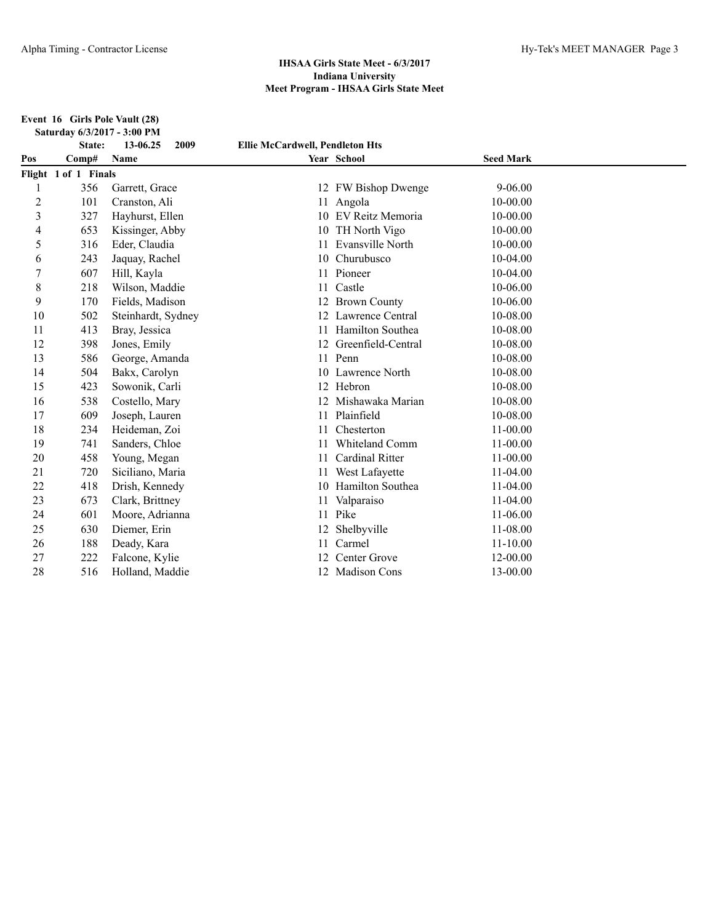**Event 16 Girls Pole Vault (28) Saturday 6/3/2017 - 3:00 PM**

|                         | State:               | 2009<br>13-06.25   | <b>Ellie McCardwell, Pendleton Hts</b> |                     |                  |  |
|-------------------------|----------------------|--------------------|----------------------------------------|---------------------|------------------|--|
| Pos                     | Comp#                | Name               |                                        | Year School         | <b>Seed Mark</b> |  |
|                         | Flight 1 of 1 Finals |                    |                                        |                     |                  |  |
|                         | 356                  | Garrett, Grace     |                                        | 12 FW Bishop Dwenge | $9 - 06.00$      |  |
| $\overline{\mathbf{c}}$ | 101                  | Cranston, Ali      |                                        | 11 Angola           | $10 - 00.00$     |  |
| 3                       | 327                  | Hayhurst, Ellen    |                                        | EV Reitz Memoria    | 10-00.00         |  |
| 4                       | 653                  | Kissinger, Abby    |                                        | 10 TH North Vigo    | 10-00.00         |  |
| 5                       | 316                  | Eder, Claudia      | 11                                     | Evansville North    | 10-00.00         |  |
| 6                       | 243                  | Jaquay, Rachel     | 10                                     | Churubusco          | 10-04.00         |  |
| 7                       | 607                  | Hill, Kayla        | 11                                     | Pioneer             | 10-04.00         |  |
| 8                       | 218                  | Wilson, Maddie     |                                        | Castle              | 10-06.00         |  |
| 9                       | 170                  | Fields, Madison    |                                        | 12 Brown County     | 10-06.00         |  |
| 10                      | 502                  | Steinhardt, Sydney |                                        | 12 Lawrence Central | 10-08.00         |  |
| 11                      | 413                  | Bray, Jessica      |                                        | Hamilton Southea    | 10-08.00         |  |
| 12                      | 398                  | Jones, Emily       | 12                                     | Greenfield-Central  | 10-08.00         |  |
| 13                      | 586                  | George, Amanda     | 11                                     | Penn                | 10-08.00         |  |
| 14                      | 504                  | Bakx, Carolyn      |                                        | 10 Lawrence North   | 10-08.00         |  |
| 15                      | 423                  | Sowonik, Carli     | 12                                     | Hebron              | 10-08.00         |  |
| 16                      | 538                  | Costello, Mary     |                                        | Mishawaka Marian    | 10-08.00         |  |
| 17                      | 609                  | Joseph, Lauren     | 11                                     | Plainfield          | 10-08.00         |  |
| 18                      | 234                  | Heideman, Zoi      |                                        | Chesterton          | 11-00.00         |  |
| 19                      | 741                  | Sanders, Chloe     |                                        | Whiteland Comm      | 11-00.00         |  |
| 20                      | 458                  | Young, Megan       |                                        | Cardinal Ritter     | 11-00.00         |  |
| 21                      | 720                  | Siciliano, Maria   |                                        | West Lafayette      | $11-04.00$       |  |
| 22                      | 418                  | Drish, Kennedy     | 10                                     | Hamilton Southea    | 11-04.00         |  |
| 23                      | 673                  | Clark, Brittney    |                                        | Valparaiso          | $11-04.00$       |  |
| 24                      | 601                  | Moore, Adrianna    |                                        | 11 Pike             | 11-06.00         |  |
| 25                      | 630                  | Diemer, Erin       |                                        | Shelbyville         | 11-08.00         |  |
| 26                      | 188                  | Deady, Kara        | 11                                     | Carmel              | $11 - 10.00$     |  |
| 27                      | 222                  | Falcone, Kylie     | 12                                     | Center Grove        | 12-00.00         |  |
| 28                      | 516                  | Holland, Maddie    |                                        | 12 Madison Cons     | 13-00.00         |  |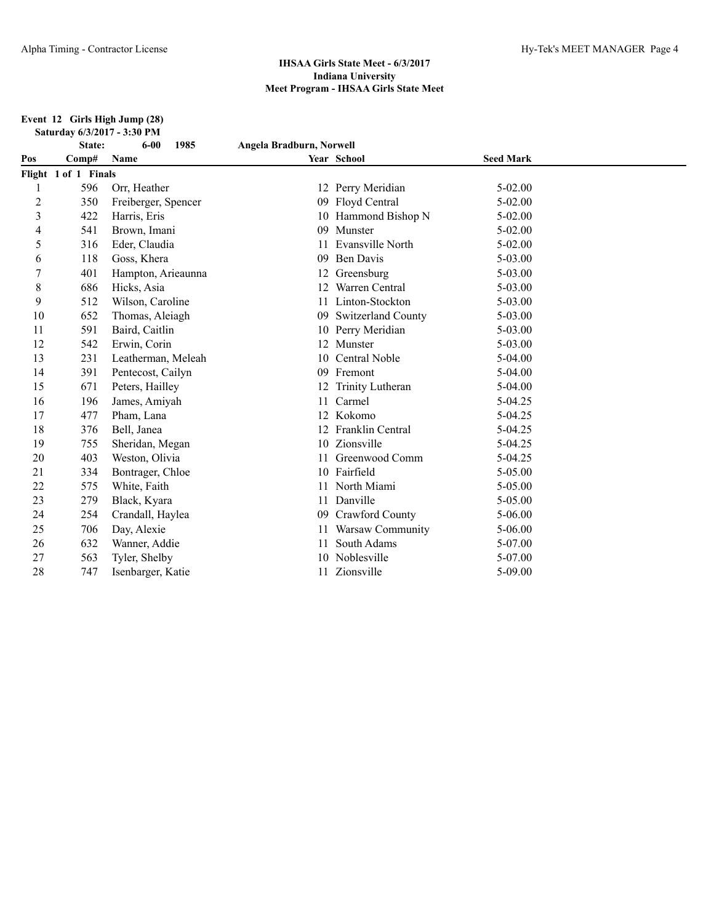**Event 12 Girls High Jump (28) Saturday 6/3/2017 - 3:30 PM**

|     | State:               | $6 - 00$<br>1985    | Angela Bradburn, Norwell |                     |                  |  |
|-----|----------------------|---------------------|--------------------------|---------------------|------------------|--|
| Pos | Comp#                | Name                |                          | Year School         | <b>Seed Mark</b> |  |
|     | Flight 1 of 1 Finals |                     |                          |                     |                  |  |
| 1   | 596                  | Orr, Heather        |                          | 12 Perry Meridian   | $5 - 02.00$      |  |
| 2   | 350                  | Freiberger, Spencer |                          | 09 Floyd Central    | 5-02.00          |  |
| 3   | 422                  | Harris, Eris        |                          | 10 Hammond Bishop N | $5-02.00$        |  |
| 4   | 541                  | Brown, Imani        | 09                       | Munster             | $5 - 02.00$      |  |
| 5   | 316                  | Eder, Claudia       | 11                       | Evansville North    | $5 - 02.00$      |  |
| 6   | 118                  | Goss, Khera         | 09                       | <b>Ben Davis</b>    | 5-03.00          |  |
| 7   | 401                  | Hampton, Arieaunna  |                          | 12 Greensburg       | 5-03.00          |  |
| 8   | 686                  | Hicks, Asia         | 12                       | Warren Central      | 5-03.00          |  |
| 9   | 512                  | Wilson, Caroline    |                          | Linton-Stockton     | 5-03.00          |  |
| 10  | 652                  | Thomas, Aleiagh     | 09                       | Switzerland County  | 5-03.00          |  |
| 11  | 591                  | Baird, Caitlin      | 10                       | Perry Meridian      | 5-03.00          |  |
| 12  | 542                  | Erwin, Corin        | 12                       | Munster             | $5 - 03.00$      |  |
| 13  | 231                  | Leatherman, Meleah  | 10                       | Central Noble       | 5-04.00          |  |
| 14  | 391                  | Pentecost, Cailyn   | 09                       | Fremont             | $5-04.00$        |  |
| 15  | 671                  | Peters, Hailley     |                          | Trinity Lutheran    | 5-04.00          |  |
| 16  | 196                  | James, Amiyah       | 11                       | Carmel              | 5-04.25          |  |
| 17  | 477                  | Pham, Lana          | 12                       | Kokomo              | 5-04.25          |  |
| 18  | 376                  | Bell, Janea         |                          | Franklin Central    | 5-04.25          |  |
| 19  | 755                  | Sheridan, Megan     | 10                       | Zionsville          | 5-04.25          |  |
| 20  | 403                  | Weston, Olivia      |                          | Greenwood Comm      | 5-04.25          |  |
| 21  | 334                  | Bontrager, Chloe    |                          | 10 Fairfield        | 5-05.00          |  |
| 22  | 575                  | White, Faith        |                          | North Miami         | 5-05.00          |  |
| 23  | 279                  | Black, Kyara        | 11                       | Danville            | 5-05.00          |  |
| 24  | 254                  | Crandall, Haylea    | 09                       | Crawford County     | $5 - 06.00$      |  |
| 25  | 706                  | Day, Alexie         |                          | Warsaw Community    | $5-06.00$        |  |
| 26  | 632                  | Wanner, Addie       |                          | South Adams         | 5-07.00          |  |
| 27  | 563                  | Tyler, Shelby       |                          | Noblesville         | 5-07.00          |  |
| 28  | 747                  | Isenbarger, Katie   |                          | Zionsville          | 5-09.00          |  |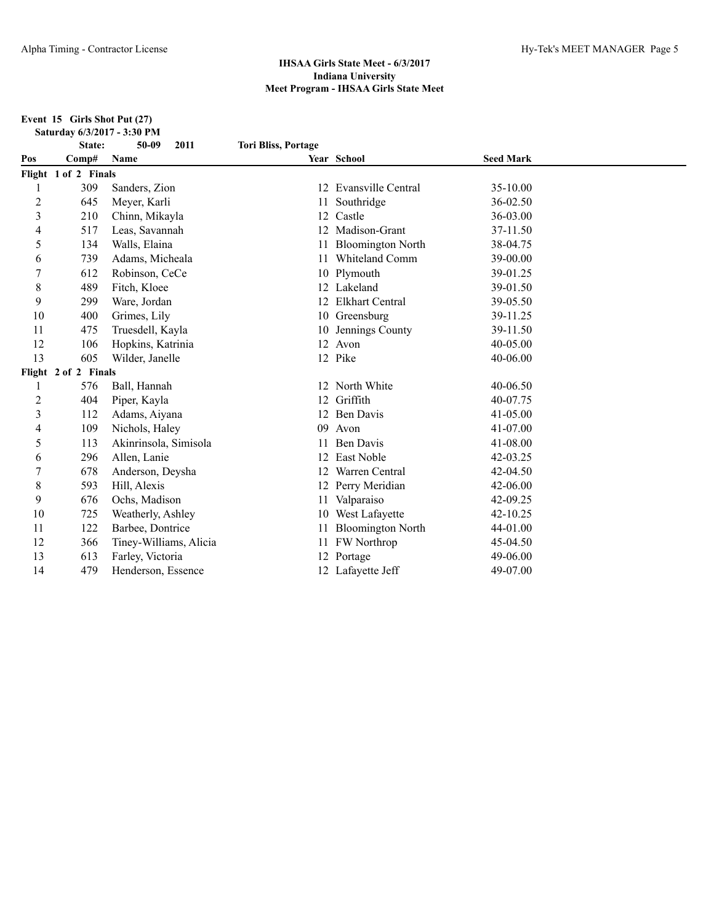**Event 15 Girls Shot Put (27) Saturday 6/3/2017 - 3:30 PM**

|     | State:               | $50 - 09$<br>2011      | <b>Tori Bliss, Portage</b> |                          |                  |  |
|-----|----------------------|------------------------|----------------------------|--------------------------|------------------|--|
| Pos | Comp#                | Name                   |                            | Year School              | <b>Seed Mark</b> |  |
|     | Flight 1 of 2 Finals |                        |                            |                          |                  |  |
| 1   | 309                  | Sanders, Zion          |                            | 12 Evansville Central    | 35-10.00         |  |
| 2   | 645                  | Meyer, Karli           |                            | Southridge               | 36-02.50         |  |
| 3   | 210                  | Chinn, Mikayla         | 12                         | Castle                   | 36-03.00         |  |
| 4   | 517                  | Leas, Savannah         | 12                         | Madison-Grant            | 37-11.50         |  |
| 5   | 134                  | Walls, Elaina          | 11                         | <b>Bloomington North</b> | 38-04.75         |  |
| 6   | 739                  | Adams, Micheala        |                            | Whiteland Comm           | 39-00.00         |  |
| 7   | 612                  | Robinson, CeCe         |                            | 10 Plymouth              | 39-01.25         |  |
| 8   | 489                  | Fitch, Kloee           |                            | 12 Lakeland              | 39-01.50         |  |
| 9   | 299                  | Ware, Jordan           |                            | 12 Elkhart Central       | 39-05.50         |  |
| 10  | 400                  | Grimes, Lily           |                            | 10 Greensburg            | 39-11.25         |  |
| 11  | 475                  | Truesdell, Kayla       | 10                         | Jennings County          | 39-11.50         |  |
| 12  | 106                  | Hopkins, Katrinia      | 12                         | Avon                     | 40-05.00         |  |
| 13  | 605                  | Wilder, Janelle        |                            | 12 Pike                  | 40-06.00         |  |
|     | Flight 2 of 2 Finals |                        |                            |                          |                  |  |
| 1   | 576                  | Ball, Hannah           | 12                         | North White              | 40-06.50         |  |
| 2   | 404                  | Piper, Kayla           | 12                         | Griffith                 | 40-07.75         |  |
| 3   | 112                  | Adams, Aiyana          | 12                         | Ben Davis                | 41-05.00         |  |
| 4   | 109                  | Nichols, Haley         | 09                         | Avon                     | 41-07.00         |  |
| 5   | 113                  | Akinrinsola, Simisola  | 11                         | <b>Ben Davis</b>         | 41-08.00         |  |
| 6   | 296                  | Allen, Lanie           |                            | East Noble               | 42-03.25         |  |
| 7   | 678                  | Anderson, Deysha       | 12                         | Warren Central           | 42-04.50         |  |
| 8   | 593                  | Hill, Alexis           |                            | 12 Perry Meridian        | 42-06.00         |  |
| 9   | 676                  | Ochs, Madison          | 11                         | Valparaiso               | 42-09.25         |  |
| 10  | 725                  | Weatherly, Ashley      | 10                         | West Lafayette           | $42 - 10.25$     |  |
| 11  | 122                  | Barbee, Dontrice       |                            | <b>Bloomington North</b> | 44-01.00         |  |
| 12  | 366                  | Tiney-Williams, Alicia | 11                         | FW Northrop              | 45-04.50         |  |
| 13  | 613                  | Farley, Victoria       |                            | 12 Portage               | 49-06.00         |  |
| 14  | 479                  | Henderson, Essence     |                            | 12 Lafayette Jeff        | 49-07.00         |  |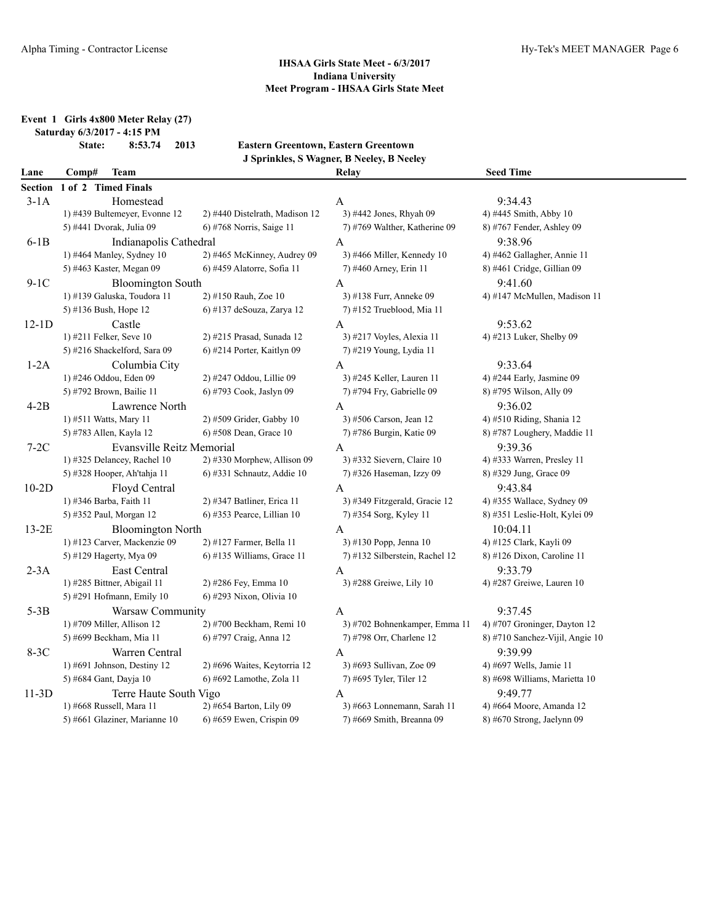**Event 1 Girls 4x800 Meter Relay (27)**

**Saturday 6/3/2017 - 4:15 PM**

**State: 8:53.74 2013 Eastern Greentown, Eastern Greentown J Sprinkles, S Wagner, B Neeley, B Neeley**

|      |         |             | J Sprinkles, S wagner, B Neeley, B Neeley |                  |
|------|---------|-------------|-------------------------------------------|------------------|
| Lane | --Comp. | <b>Team</b> | Relay                                     | <b>Seed Time</b> |

|         | Section 1 of 2 Timed Finals   |                                |                                |                                 |
|---------|-------------------------------|--------------------------------|--------------------------------|---------------------------------|
| $3-1A$  | Homestead                     |                                | A                              | 9:34.43                         |
|         | 1) #439 Bultemeyer, Evonne 12 | 2) #440 Distelrath, Madison 12 | 3) #442 Jones, Rhyah 09        | 4) #445 Smith, Abby 10          |
|         | 5) #441 Dvorak, Julia 09      | 6) #768 Norris, Saige 11       | 7) #769 Walther, Katherine 09  | 8) #767 Fender, Ashley 09       |
| $6-1B$  | Indianapolis Cathedral        |                                | A                              | 9:38.96                         |
|         | 1) #464 Manley, Sydney 10     | 2) #465 McKinney, Audrey 09    | 3) #466 Miller, Kennedy 10     | 4) #462 Gallagher, Annie 11     |
|         | 5) #463 Kaster, Megan 09      | 6) #459 Alatorre, Sofia 11     | 7) #460 Arney, Erin 11         | 8) #461 Cridge, Gillian 09      |
| $9-1C$  | <b>Bloomington South</b>      |                                | A                              | 9:41.60                         |
|         | 1) #139 Galuska, Toudora 11   | 2) #150 Rauh, Zoe 10           | 3) #138 Furr, Anneke 09        | 4) #147 McMullen, Madison 11    |
|         | 5) #136 Bush, Hope 12         | 6) #137 deSouza, Zarya 12      | 7) #152 Trueblood, Mia 11      |                                 |
| $12-1D$ | Castle                        |                                | A                              | 9:53.62                         |
|         | 1) #211 Felker, Seve 10       | 2) #215 Prasad, Sunada 12      | 3) #217 Voyles, Alexia 11      | 4) #213 Luker, Shelby 09        |
|         | 5) #216 Shackelford, Sara 09  | 6) #214 Porter, Kaitlyn 09     | 7) #219 Young, Lydia 11        |                                 |
| $1-2A$  | Columbia City                 |                                | $\mathbf{A}$                   | 9:33.64                         |
|         | 1) #246 Oddou, Eden 09        | 2) #247 Oddou, Lillie 09       | 3) #245 Keller, Lauren 11      | 4) #244 Early, Jasmine 09       |
|         | 5) #792 Brown, Bailie 11      | 6) #793 Cook, Jaslyn 09        | 7) #794 Fry, Gabrielle 09      | 8) #795 Wilson, Ally 09         |
| $4-2B$  | Lawrence North                |                                | A                              | 9:36.02                         |
|         | 1) #511 Watts, Mary 11        | 2) #509 Grider, Gabby 10       | 3) #506 Carson, Jean 12        | 4) #510 Riding, Shania 12       |
|         | 5) #783 Allen, Kayla 12       | 6) #508 Dean, Grace 10         | 7) #786 Burgin, Katie 09       | 8) #787 Loughery, Maddie 11     |
| $7-2C$  | Evansville Reitz Memorial     |                                | A                              | 9:39.36                         |
|         | 1) #325 Delancey, Rachel 10   | 2) #330 Morphew, Allison 09    | 3) #332 Sievern, Claire 10     | 4) #333 Warren, Presley 11      |
|         | 5) #328 Hooper, Ah'tahja 11   | $6$ ) #331 Schnautz, Addie 10  | 7) #326 Haseman, Izzy 09       | 8) #329 Jung, Grace 09          |
| $10-2D$ | Floyd Central                 |                                | A                              | 9:43.84                         |
|         | 1) #346 Barba, Faith 11       | 2) #347 Batliner, Erica 11     | 3) #349 Fitzgerald, Gracie 12  | 4) #355 Wallace, Sydney 09      |
|         | 5) #352 Paul, Morgan 12       | 6) #353 Pearce, Lillian 10     | 7) #354 Sorg, Kyley 11         | 8) #351 Leslie-Holt, Kylei 09   |
| $13-2E$ | <b>Bloomington North</b>      |                                | A                              | 10:04.11                        |
|         | 1) #123 Carver, Mackenzie 09  | 2) #127 Farmer, Bella 11       | 3) #130 Popp, Jenna 10         | 4) #125 Clark, Kayli 09         |
|         | 5) #129 Hagerty, Mya 09       | $6$ ) #135 Williams, Grace 11  | 7) #132 Silberstein, Rachel 12 | 8) #126 Dixon, Caroline 11      |
| $2-3A$  | East Central                  |                                | $\mathbf{A}$                   | 9:33.79                         |
|         | 1) #285 Bittner, Abigail 11   | 2) #286 Fey, Emma 10           | 3) #288 Greiwe, Lily 10        | 4) #287 Greiwe, Lauren $10$     |
|         | 5) #291 Hofmann, Emily 10     | 6) #293 Nixon, Olivia 10       |                                |                                 |
| $5-3B$  | Warsaw Community              |                                | A                              | 9:37.45                         |
|         | 1) #709 Miller, Allison 12    | 2) #700 Beckham, Remi 10       | 3) #702 Bohnenkamper, Emma 11  | 4) #707 Groninger, Dayton 12    |
|         | 5) #699 Beckham, Mia 11       | 6) #797 Craig, Anna 12         | 7) #798 Orr, Charlene 12       | 8) #710 Sanchez-Vijil, Angie 10 |
| $8-3C$  | Warren Central                |                                | A                              | 9:39.99                         |
|         | 1) #691 Johnson, Destiny 12   | 2) #696 Waites, Keytorria 12   | 3) #693 Sullivan, Zoe 09       | 4) #697 Wells, Jamie 11         |
|         | 5) #684 Gant, Dayja 10        | 6) #692 Lamothe, Zola 11       | 7) #695 Tyler, Tiler 12        | 8) #698 Williams, Marietta 10   |
| $11-3D$ | Terre Haute South Vigo        |                                | A                              | 9:49.77                         |
|         | 1) #668 Russell, Mara 11      | 2) #654 Barton, Lily 09        | 3) #663 Lonnemann, Sarah 11    | 4) #664 Moore, Amanda 12        |
|         | 5) #661 Glaziner, Marianne 10 | $6$ ) #659 Ewen, Crispin 09    | 7) #669 Smith, Breanna 09      | $8)$ #670 Strong, Jaelynn 09    |
|         |                               |                                |                                |                                 |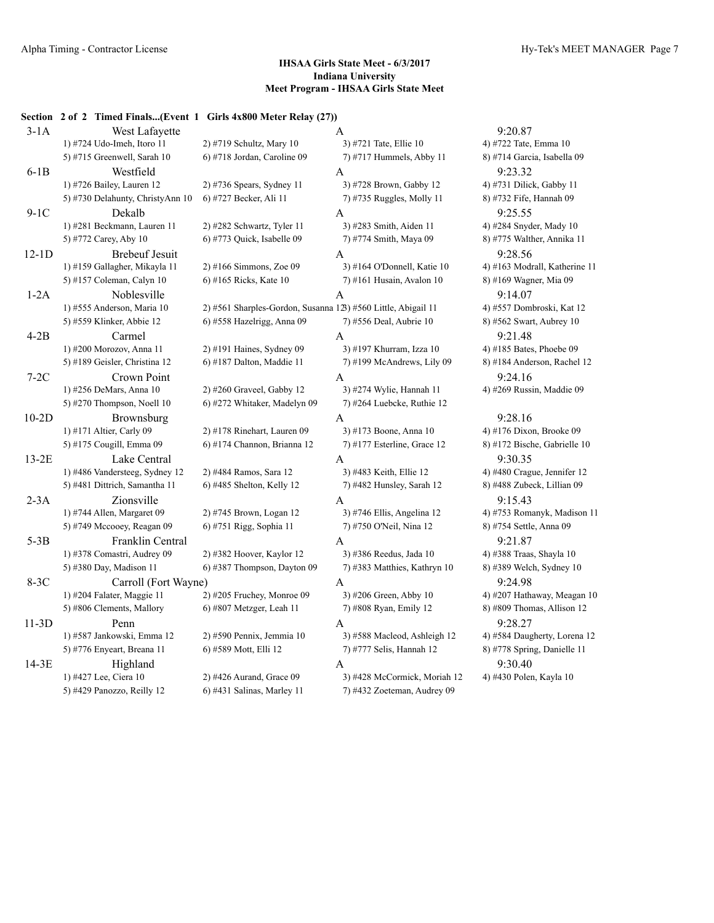# **Section 2 of 2 Timed Finals...(Event 1 Girls 4x800 Meter Relay (27))**

| $3-1A$  | West Lafayette                   |                                                               | A                              | 9:20.87                       |
|---------|----------------------------------|---------------------------------------------------------------|--------------------------------|-------------------------------|
|         | 1) #724 Udo-Imeh, Itoro 11       | 2) #719 Schultz, Mary 10                                      | 3) #721 Tate, Ellie 10         | 4) #722 Tate, Emma 10         |
|         | 5) #715 Greenwell, Sarah 10      | 6) #718 Jordan, Caroline 09                                   | 7) #717 Hummels, Abby 11       | 8) #714 Garcia, Isabella 09   |
| $6-1B$  | Westfield                        |                                                               | A                              | 9:23.32                       |
|         | 1) #726 Bailey, Lauren 12        | 2) #736 Spears, Sydney 11                                     | 3) #728 Brown, Gabby 12        | 4) #731 Dilick, Gabby 11      |
|         | 5) #730 Delahunty, ChristyAnn 10 | 6) #727 Becker, Ali 11                                        | 7) #735 Ruggles, Molly 11      | 8) #732 Fife, Hannah 09       |
| $9-1C$  | Dekalb                           |                                                               | A                              | 9:25.55                       |
|         | 1) #281 Beckmann, Lauren 11      | 2) #282 Schwartz, Tyler 11                                    | 3) #283 Smith, Aiden 11        | 4) #284 Snyder, Mady 10       |
|         | 5) #772 Carey, Aby 10            | 6) #773 Quick, Isabelle 09                                    | 7) #774 Smith, Maya 09         | 8) #775 Walther, Annika 11    |
| $12-1D$ | <b>Brebeuf Jesuit</b>            |                                                               | A                              | 9:28.56                       |
|         | 1) #159 Gallagher, Mikayla 11    | $2)$ #166 Simmons, Zoe 09                                     | 3) #164 O'Donnell, Katie 10    | 4) #163 Modrall, Katherine 11 |
|         | 5) #157 Coleman, Calyn 10        | 6) #165 Ricks, Kate 10                                        | 7) #161 Husain, Avalon 10      | 8) #169 Wagner, Mia 09        |
| $1-2A$  | Noblesville                      |                                                               | $\mathbf{A}$                   | 9:14.07                       |
|         | 1) #555 Anderson, Maria 10       | 2) #561 Sharples-Gordon, Susanna 123) #560 Little, Abigail 11 |                                | 4) #557 Dombroski, Kat 12     |
|         | 5) #559 Klinker, Abbie 12        | 6) #558 Hazelrigg, Anna 09                                    | 7) #556 Deal, Aubrie 10        | 8) #562 Swart, Aubrey 10      |
| $4-2B$  | Carmel                           |                                                               | A                              | 9:21.48                       |
|         | 1) #200 Morozov, Anna 11         | 2) #191 Haines, Sydney 09                                     | 3) #197 Khurram, Izza 10       | 4) #185 Bates, Phoebe 09      |
|         | 5) #189 Geisler, Christina 12    | 6) #187 Dalton, Maddie 11                                     | 7) #199 McAndrews, Lily 09     | 8) #184 Anderson, Rachel 12   |
| $7-2C$  | Crown Point                      |                                                               | A                              | 9:24.16                       |
|         | 1) #256 DeMars, Anna 10          | $2)$ #260 Graveel, Gabby 12                                   | 3) #274 Wylie, Hannah 11       | 4) #269 Russin, Maddie 09     |
|         | 5) #270 Thompson, Noell 10       | 6) #272 Whitaker, Madelyn 09                                  | 7) #264 Luebcke, Ruthie 12     |                               |
| $10-2D$ | Brownsburg                       |                                                               | $\mathbf{A}$                   | 9:28.16                       |
|         | 1) #171 Altier, Carly 09         | 2) #178 Rinehart, Lauren 09                                   | 3) #173 Boone, Anna 10         | 4) #176 Dixon, Brooke 09      |
|         | 5) #175 Cougill, Emma 09         | 6) #174 Channon, Brianna 12                                   | $(7)$ #177 Esterline, Grace 12 | 8) #172 Bische, Gabrielle 10  |
| $13-2E$ | Lake Central                     |                                                               | A                              | 9:30.35                       |
|         | 1) #486 Vandersteeg, Sydney 12   | 2) #484 Ramos, Sara 12                                        | 3) #483 Keith, Ellie 12        | 4) #480 Crague, Jennifer 12   |
|         | 5) #481 Dittrich, Samantha 11    | 6) #485 Shelton, Kelly 12                                     | 7) #482 Hunsley, Sarah 12      | 8) #488 Zubeck, Lillian 09    |
| $2-3A$  | Zionsville                       |                                                               | A                              | 9:15.43                       |
|         | 1) #744 Allen, Margaret 09       | 2) #745 Brown, Logan 12                                       | 3) #746 Ellis, Angelina 12     | 4) #753 Romanyk, Madison 11   |
|         | 5) #749 Mccooey, Reagan 09       | 6) #751 Rigg, Sophia 11                                       | 7) #750 O'Neil, Nina 12        | 8) #754 Settle, Anna 09       |
| $5-3B$  | Franklin Central                 |                                                               | A                              | 9:21.87                       |
|         | 1) #378 Comastri, Audrey 09      | 2) #382 Hoover, Kaylor 12                                     | 3) #386 Reedus, Jada 10        | 4) #388 Traas, Shayla 10      |
|         | 5) #380 Day, Madison 11          | 6) #387 Thompson, Dayton 09                                   | 7) #383 Matthies, Kathryn 10   | 8) #389 Welch, Sydney 10      |
| $8-3C$  | Carroll (Fort Wayne)             |                                                               | A                              | 9:24.98                       |
|         | 1) $#204$ Falater, Maggie 11     | $2)$ #205 Fruchey, Monroe 09                                  | 3) #206 Green, Abby 10         | 4) #207 Hathaway, Meagan 10   |
|         | 5) #806 Clements, Mallory        | 6) #807 Metzger, Leah 11                                      | 7) #808 Ryan, Emily 12         | 8) #809 Thomas, Allison 12    |
| $11-3D$ | Penn                             |                                                               | A                              | 9:28.27                       |
|         | 1) #587 Jankowski, Emma 12       | 2) #590 Pennix, Jemmia 10                                     | 3) #588 Macleod, Ashleigh 12   | 4) #584 Daugherty, Lorena 12  |
|         | 5) #776 Enyeart, Breana 11       | 6) #589 Mott, Elli 12                                         | 7) #777 Selis, Hannah 12       | 8) #778 Spring, Danielle 11   |
| 14-3E   | Highland                         |                                                               | A                              | 9:30.40                       |
|         | 1) #427 Lee, Ciera 10            | 2) #426 Aurand, Grace 09                                      | 3) #428 McCormick, Moriah 12   | 4) #430 Polen, Kayla 10       |
|         | 5) #429 Panozzo, Reilly 12       | 6) #431 Salinas, Marley 11                                    | 7) #432 Zoeteman, Audrey 09    |                               |
|         |                                  |                                                               |                                |                               |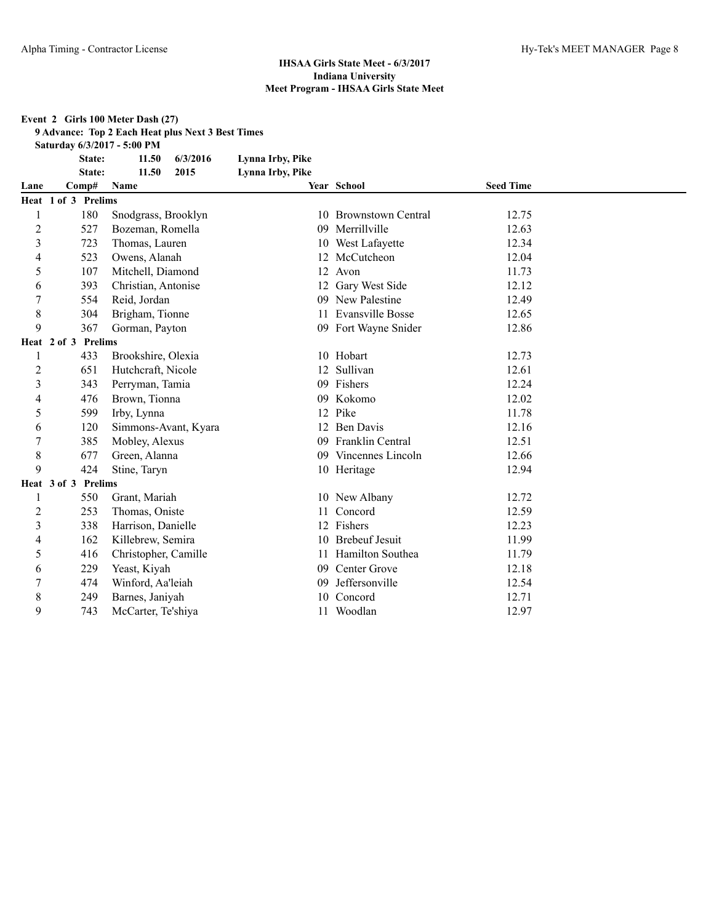#### **Event 2 Girls 100 Meter Dash (27)**

**9 Advance: Top 2 Each Heat plus Next 3 Best Times**

**Saturday 6/3/2017 - 5:00 PM**

**State: 11.50 6/3/2016 Lynna Irby, Pike**

|                          | State:              | 11.50<br>2015        | Lynna Irby, Pike |                         |                  |  |
|--------------------------|---------------------|----------------------|------------------|-------------------------|------------------|--|
| Lane                     | Comp#               | Name                 |                  | Year School             | <b>Seed Time</b> |  |
|                          | Heat 1 of 3 Prelims |                      |                  |                         |                  |  |
|                          | 180                 | Snodgrass, Brooklyn  |                  | 10 Brownstown Central   | 12.75            |  |
| $\overline{c}$           | 527                 | Bozeman, Romella     | 09               | Merrillville            | 12.63            |  |
| 3                        | 723                 | Thomas, Lauren       |                  | 10 West Lafayette       | 12.34            |  |
| 4                        | 523                 | Owens, Alanah        |                  | 12 McCutcheon           | 12.04            |  |
| 5                        | 107                 | Mitchell, Diamond    |                  | 12 Avon                 | 11.73            |  |
| 6                        | 393                 | Christian, Antonise  |                  | 12 Gary West Side       | 12.12            |  |
| 7                        | 554                 | Reid, Jordan         | 09               | New Palestine           | 12.49            |  |
| 8                        | 304                 | Brigham, Tionne      | 11               | <b>Evansville Bosse</b> | 12.65            |  |
| 9                        | 367                 | Gorman, Payton       |                  | 09 Fort Wayne Snider    | 12.86            |  |
|                          | Heat 2 of 3 Prelims |                      |                  |                         |                  |  |
|                          | 433                 | Brookshire, Olexia   |                  | 10 Hobart               | 12.73            |  |
| $\overline{2}$           | 651                 | Hutchcraft, Nicole   | 12               | Sullivan                | 12.61            |  |
| $\overline{3}$           | 343                 | Perryman, Tamia      | 09               | Fishers                 | 12.24            |  |
| 4                        | 476                 | Brown, Tionna        | 09               | Kokomo                  | 12.02            |  |
| 5                        | 599                 | Irby, Lynna          |                  | 12 Pike                 | 11.78            |  |
| 6                        | 120                 | Simmons-Avant, Kyara |                  | 12 Ben Davis            | 12.16            |  |
| 7                        | 385                 | Mobley, Alexus       | 09               | Franklin Central        | 12.51            |  |
| 8                        | 677                 | Green, Alanna        | 09               | Vincennes Lincoln       | 12.66            |  |
| 9                        | 424                 | Stine, Taryn         |                  | 10 Heritage             | 12.94            |  |
|                          | Heat 3 of 3 Prelims |                      |                  |                         |                  |  |
|                          | 550                 | Grant, Mariah        |                  | 10 New Albany           | 12.72            |  |
| $\overline{c}$           | 253                 | Thomas, Oniste       |                  | Concord                 | 12.59            |  |
| 3                        | 338                 | Harrison, Danielle   |                  | 12 Fishers              | 12.23            |  |
| $\overline{\mathcal{L}}$ | 162                 | Killebrew, Semira    | 10               | <b>Brebeuf Jesuit</b>   | 11.99            |  |
| 5                        | 416                 | Christopher, Camille |                  | 11 Hamilton Southea     | 11.79            |  |
| 6                        | 229                 | Yeast, Kiyah         | 09               | Center Grove            | 12.18            |  |
| 7                        | 474                 | Winford, Aa'leiah    | 09               | Jeffersonville          | 12.54            |  |
| 8                        | 249                 | Barnes, Janiyah      | 10               | Concord                 | 12.71            |  |
| 9                        | 743                 | McCarter, Te'shiya   | 11               | Woodlan                 | 12.97            |  |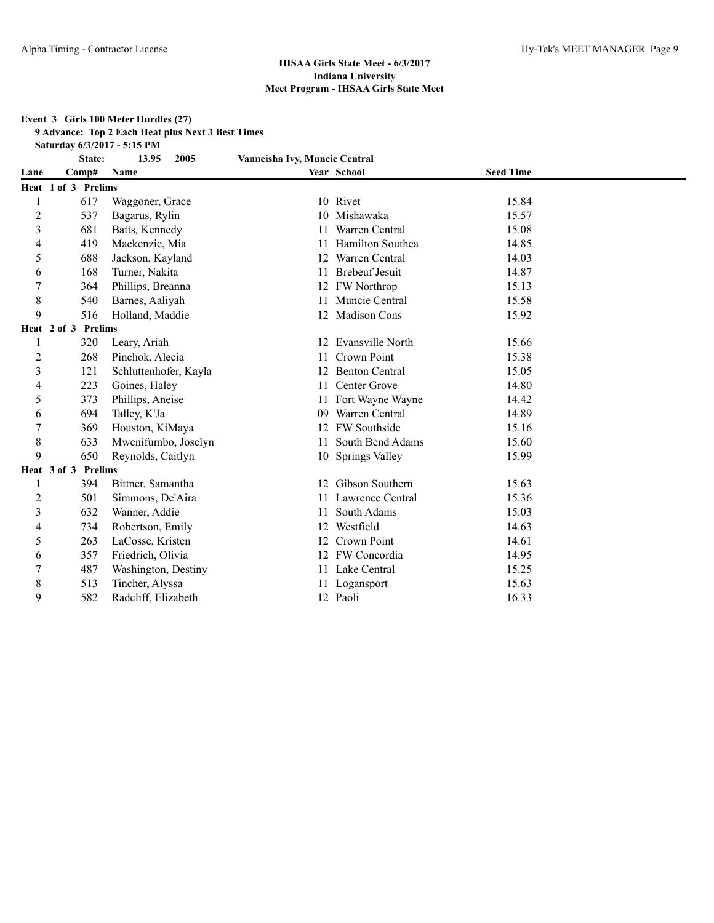#### **Event 3 Girls 100 Meter Hurdles (27)**

**9 Advance: Top 2 Each Heat plus Next 3 Best Times**

**Saturday 6/3/2017 - 5:15 PM**

|                | State:                        | 13.95<br>2005         | Vanneisha Ivy, Muncie Central |                         |                  |  |
|----------------|-------------------------------|-----------------------|-------------------------------|-------------------------|------------------|--|
| Lane           | Comp#                         | Name                  |                               | Year School             | <b>Seed Time</b> |  |
|                | Heat 1 of 3 Prelims           |                       |                               |                         |                  |  |
|                | 617                           | Waggoner, Grace       |                               | 10 Rivet                | 15.84            |  |
| 2              | 537                           | Bagarus, Rylin        | 10                            | Mishawaka               | 15.57            |  |
| 3              | 681                           | Batts, Kennedy        |                               | Warren Central          | 15.08            |  |
| 4              | 419                           | Mackenzie, Mia        |                               | Hamilton Southea        | 14.85            |  |
| 5              | 688                           | Jackson, Kayland      | 12                            | Warren Central          | 14.03            |  |
| 6              | 168                           | Turner, Nakita        | 11                            | <b>Brebeuf Jesuit</b>   | 14.87            |  |
|                | 364                           | Phillips, Breanna     |                               | 12 FW Northrop          | 15.13            |  |
| 8              | 540                           | Barnes, Aaliyah       | 11                            | Muncie Central          | 15.58            |  |
| 9              | 516                           | Holland, Maddie       |                               | <b>Madison Cons</b>     | 15.92            |  |
|                | <b>Prelims</b><br>Heat 2 of 3 |                       |                               |                         |                  |  |
|                | 320                           | Leary, Ariah          | 12                            | <b>Evansville North</b> | 15.66            |  |
| $\overline{c}$ | 268                           | Pinchok, Alecia       | 11                            | Crown Point             | 15.38            |  |
| 3              | 121                           | Schluttenhofer, Kayla |                               | <b>Benton Central</b>   | 15.05            |  |
| 4              | 223                           | Goines, Haley         | 11                            | Center Grove            | 14.80            |  |
| 5              | 373                           | Phillips, Aneise      |                               | Fort Wayne Wayne        | 14.42            |  |
| 6              | 694                           | Talley, K'Ja          | 09                            | Warren Central          | 14.89            |  |
| 7              | 369                           | Houston, KiMaya       | 12                            | FW Southside            | 15.16            |  |
| 8              | 633                           | Mwenifumbo, Joselyn   | 11                            | South Bend Adams        | 15.60            |  |
| 9              | 650                           | Reynolds, Caitlyn     |                               | 10 Springs Valley       | 15.99            |  |
|                | <b>Prelims</b><br>Heat 3 of 3 |                       |                               |                         |                  |  |
|                | 394                           | Bittner, Samantha     | 12                            | Gibson Southern         | 15.63            |  |
| 2              | 501                           | Simmons, De'Aira      | 11.                           | Lawrence Central        | 15.36            |  |
| 3              | 632                           | Wanner, Addie         | 11                            | South Adams             | 15.03            |  |
| 4              | 734                           | Robertson, Emily      | 12                            | Westfield               | 14.63            |  |
| 5              | 263                           | LaCosse, Kristen      |                               | Crown Point             | 14.61            |  |
| 6              | 357                           | Friedrich, Olivia     |                               | 12 FW Concordia         | 14.95            |  |
|                | 487                           | Washington, Destiny   |                               | Lake Central            | 15.25            |  |
| 8              | 513                           | Tincher, Alyssa       |                               | Logansport              | 15.63            |  |
| 9              | 582                           | Radcliff, Elizabeth   |                               | 12 Paoli                | 16.33            |  |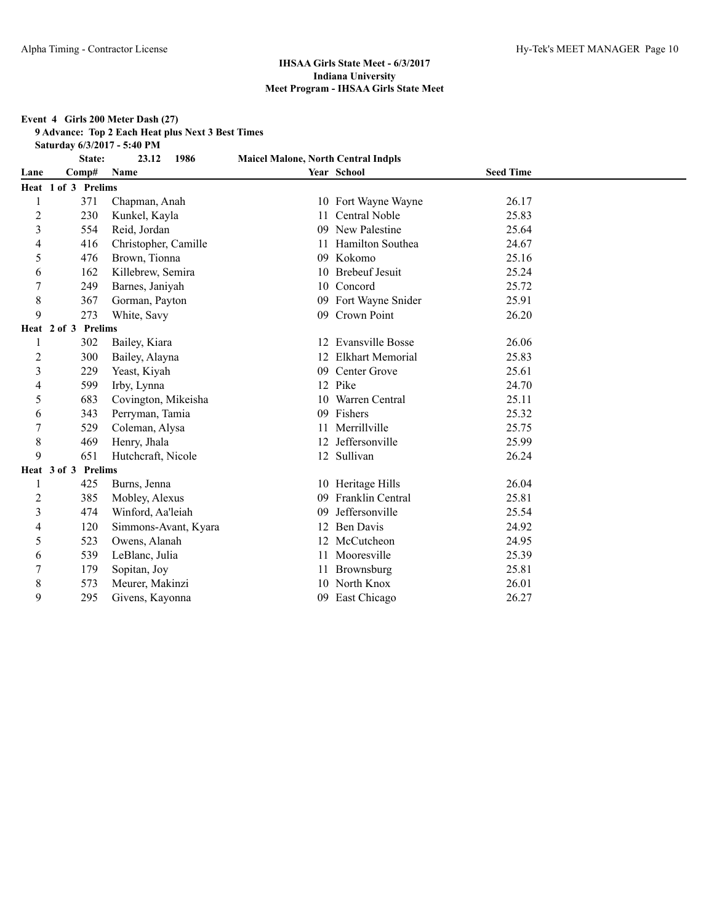#### **Event 4 Girls 200 Meter Dash (27)**

**9 Advance: Top 2 Each Heat plus Next 3 Best Times**

**Saturday 6/3/2017 - 5:40 PM**

|                | State:                        | 1986<br>23.12        | <b>Maicel Malone, North Central Indpls</b> |                         |                  |  |
|----------------|-------------------------------|----------------------|--------------------------------------------|-------------------------|------------------|--|
| Lane           | Comp#                         | Name                 |                                            | Year School             | <b>Seed Time</b> |  |
|                | Heat 1 of 3 Prelims           |                      |                                            |                         |                  |  |
|                | 371                           | Chapman, Anah        |                                            | 10 Fort Wayne Wayne     | 26.17            |  |
| 2              | 230                           | Kunkel, Kayla        | 11                                         | Central Noble           | 25.83            |  |
| 3              | 554                           | Reid, Jordan         | 09                                         | New Palestine           | 25.64            |  |
| 4              | 416                           | Christopher, Camille |                                            | Hamilton Southea        | 24.67            |  |
| 5              | 476                           | Brown, Tionna        | 09                                         | Kokomo                  | 25.16            |  |
| 6              | 162                           | Killebrew, Semira    | 10                                         | <b>Brebeuf Jesuit</b>   | 25.24            |  |
| 7              | 249                           | Barnes, Janiyah      |                                            | 10 Concord              | 25.72            |  |
| 8              | 367                           | Gorman, Payton       |                                            | 09 Fort Wayne Snider    | 25.91            |  |
| 9              | 273                           | White, Savy          |                                            | 09 Crown Point          | 26.20            |  |
|                | Heat 2 of 3<br><b>Prelims</b> |                      |                                            |                         |                  |  |
|                | 302                           | Bailey, Kiara        | 12                                         | <b>Evansville Bosse</b> | 26.06            |  |
| $\overline{c}$ | 300                           | Bailey, Alayna       | 12                                         | <b>Elkhart Memorial</b> | 25.83            |  |
| 3              | 229                           | Yeast, Kiyah         | 09                                         | Center Grove            | 25.61            |  |
| 4              | 599                           | Irby, Lynna          | 12                                         | Pike                    | 24.70            |  |
| 5              | 683                           | Covington, Mikeisha  |                                            | Warren Central          | 25.11            |  |
| 6              | 343                           | Perryman, Tamia      | 09                                         | Fishers                 | 25.32            |  |
| 7              | 529                           | Coleman, Alysa       | 11                                         | Merrillville            | 25.75            |  |
| 8              | 469                           | Henry, Jhala         | 12                                         | Jeffersonville          | 25.99            |  |
| 9              | 651                           | Hutchcraft, Nicole   |                                            | 12 Sullivan             | 26.24            |  |
|                | <b>Prelims</b><br>Heat 3 of 3 |                      |                                            |                         |                  |  |
|                | 425                           | Burns, Jenna         |                                            | 10 Heritage Hills       | 26.04            |  |
| 2              | 385                           | Mobley, Alexus       | 09                                         | <b>Franklin Central</b> | 25.81            |  |
| $\mathfrak{Z}$ | 474                           | Winford, Aa'leiah    | 09                                         | Jeffersonville          | 25.54            |  |
| 4              | 120                           | Simmons-Avant, Kyara | 12                                         | <b>Ben Davis</b>        | 24.92            |  |
| 5              | 523                           | Owens, Alanah        |                                            | McCutcheon              | 24.95            |  |
| 6              | 539                           | LeBlanc, Julia       |                                            | Mooresville             | 25.39            |  |
|                | 179                           | Sopitan, Joy         |                                            | Brownsburg              | 25.81            |  |
| 8              | 573                           | Meurer, Makinzi      | 10                                         | North Knox              | 26.01            |  |
| 9              | 295                           | Givens, Kayonna      | 09                                         | East Chicago            | 26.27            |  |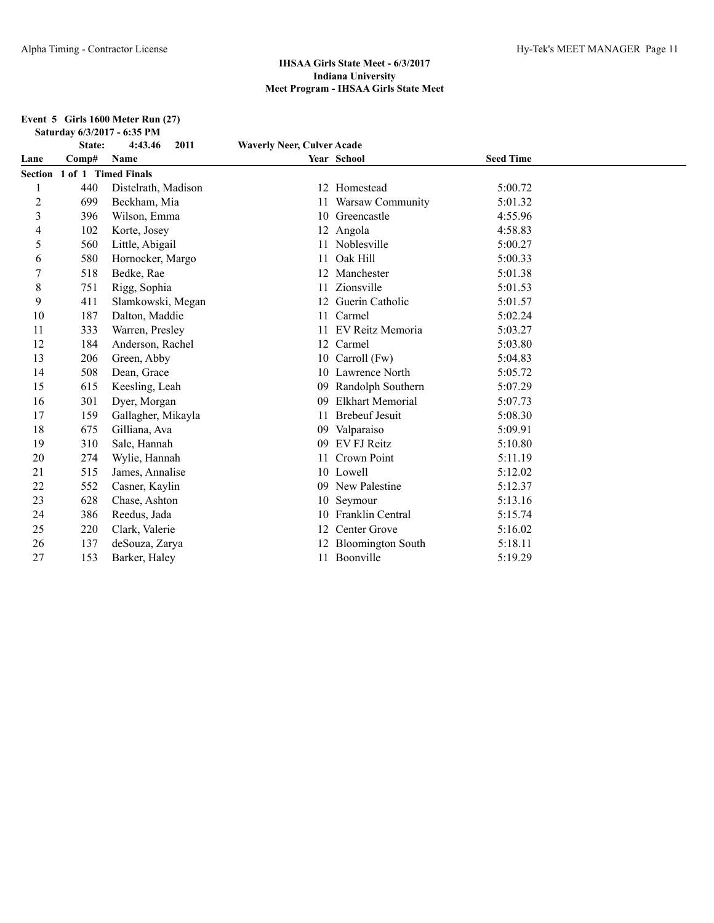#### **Event 5 Girls 1600 Meter Run (27) Saturday 6/3/2017 - 6:35 PM**

|                | State:                      | 4:43.46<br>2011     | <b>Waverly Neer, Culver Acade</b> |                          |                  |  |
|----------------|-----------------------------|---------------------|-----------------------------------|--------------------------|------------------|--|
| Lane           | Comp#                       | Name                |                                   | Year School              | <b>Seed Time</b> |  |
|                | Section 1 of 1 Timed Finals |                     |                                   |                          |                  |  |
|                | 440                         | Distelrath, Madison |                                   | 12 Homestead             | 5:00.72          |  |
| $\overline{c}$ | 699                         | Beckham, Mia        | 11                                | Warsaw Community         | 5:01.32          |  |
| 3              | 396                         | Wilson, Emma        | 10                                | Greencastle              | 4:55.96          |  |
| 4              | 102                         | Korte, Josey        |                                   | 12 Angola                | 4:58.83          |  |
| 5              | 560                         | Little, Abigail     |                                   | Noblesville              | 5:00.27          |  |
| 6              | 580                         | Hornocker, Margo    | 11                                | Oak Hill                 | 5:00.33          |  |
| 7              | 518                         | Bedke, Rae          |                                   | Manchester               | 5:01.38          |  |
| 8              | 751                         | Rigg, Sophia        |                                   | Zionsville               | 5:01.53          |  |
| 9              | 411                         | Slamkowski, Megan   |                                   | Guerin Catholic          | 5:01.57          |  |
| 10             | 187                         | Dalton, Maddie      | 11                                | Carmel                   | 5:02.24          |  |
| 11             | 333                         | Warren, Presley     |                                   | EV Reitz Memoria         | 5:03.27          |  |
| 12             | 184                         | Anderson, Rachel    | 12                                | Carmel                   | 5:03.80          |  |
| 13             | 206                         | Green, Abby         | 10                                | Carroll (Fw)             | 5:04.83          |  |
| 14             | 508                         | Dean, Grace         |                                   | 10 Lawrence North        | 5:05.72          |  |
| 15             | 615                         | Keesling, Leah      | 09                                | Randolph Southern        | 5:07.29          |  |
| 16             | 301                         | Dyer, Morgan        | 09                                | Elkhart Memorial         | 5:07.73          |  |
| 17             | 159                         | Gallagher, Mikayla  | 11                                | <b>Brebeuf Jesuit</b>    | 5:08.30          |  |
| 18             | 675                         | Gilliana, Ava       | 09                                | Valparaiso               | 5:09.91          |  |
| 19             | 310                         | Sale, Hannah        | 09                                | EV FJ Reitz              | 5:10.80          |  |
| 20             | 274                         | Wylie, Hannah       |                                   | Crown Point              | 5:11.19          |  |
| 21             | 515                         | James, Annalise     |                                   | 10 Lowell                | 5:12.02          |  |
| 22             | 552                         | Casner, Kaylin      | 09                                | New Palestine            | 5:12.37          |  |
| 23             | 628                         | Chase, Ashton       | 10                                | Seymour                  | 5:13.16          |  |
| 24             | 386                         | Reedus, Jada        |                                   | Franklin Central         | 5:15.74          |  |
| 25             | 220                         | Clark, Valerie      | 12                                | Center Grove             | 5:16.02          |  |
| 26             | 137                         | deSouza, Zarya      |                                   | <b>Bloomington South</b> | 5:18.11          |  |
| 27             | 153                         | Barker, Haley       |                                   | 11 Boonville             | 5:19.29          |  |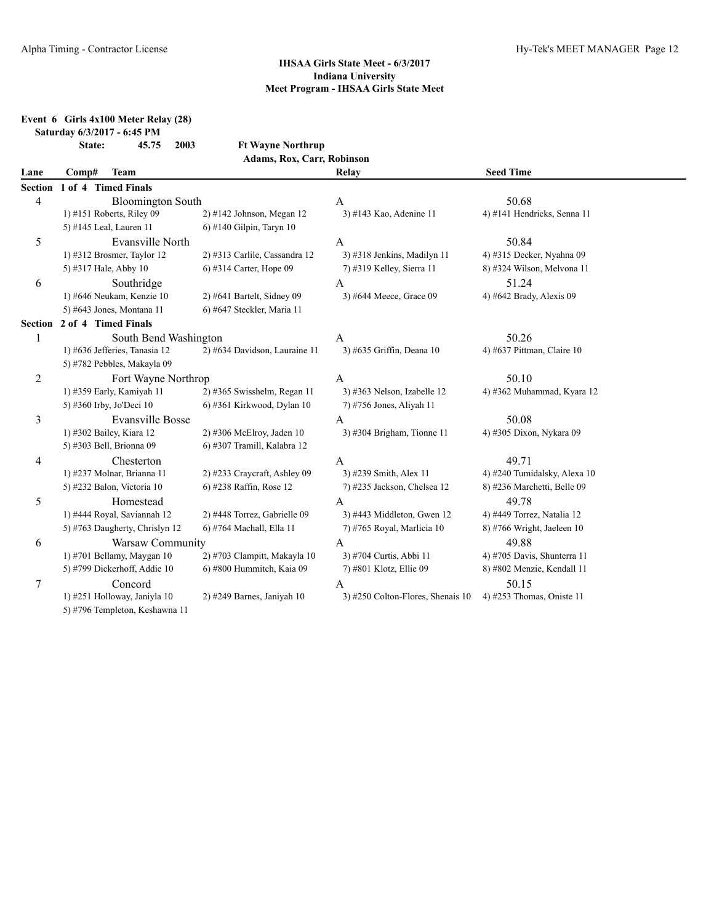|                |       | 2003<br>State:<br>45.75        | <b>Ft Wayne Northrup</b>      |                                   |                              |
|----------------|-------|--------------------------------|-------------------------------|-----------------------------------|------------------------------|
|                |       |                                | Adams, Rox, Carr, Robinson    |                                   |                              |
| Lane           | Comp# | <b>Team</b>                    |                               | Relay                             | <b>Seed Time</b>             |
| <b>Section</b> |       | 1 of 4 Timed Finals            |                               |                                   |                              |
| 4              |       | <b>Bloomington South</b>       |                               | $\mathbf{A}$                      | 50.68                        |
|                |       | 1) #151 Roberts, Riley 09      | 2) #142 Johnson, Megan 12     | 3) #143 Kao, Adenine 11           | 4) #141 Hendricks, Senna 11  |
|                |       | 5) #145 Leal, Lauren 11        | 6) #140 Gilpin, Taryn 10      |                                   |                              |
| 5              |       | Evansville North               |                               | $\mathbf{A}$                      | 50.84                        |
|                |       | 1) #312 Brosmer, Taylor 12     | 2) #313 Carlile, Cassandra 12 | 3) #318 Jenkins, Madilyn 11       | 4) #315 Decker, Nyahna 09    |
|                |       | 5) #317 Hale, Abby 10          | 6) #314 Carter, Hope 09       | 7) #319 Kelley, Sierra 11         | 8) #324 Wilson, Melvona 11   |
| 6              |       | Southridge                     |                               | $\mathbf{A}$                      | 51.24                        |
|                |       | 1) #646 Neukam, Kenzie 10      | $2)$ #641 Bartelt, Sidney 09  | 3) #644 Meece, Grace 09           | 4) #642 Brady, Alexis 09     |
|                |       | 5) #643 Jones, Montana 11      | 6) #647 Steckler, Maria 11    |                                   |                              |
| <b>Section</b> |       | 2 of 4 Timed Finals            |                               |                                   |                              |
| 1              |       | South Bend Washington          |                               | $\mathbf{A}$                      | 50.26                        |
|                |       | 1) #636 Jefferies, Tanasia 12  | 2) #634 Davidson, Lauraine 11 | 3) #635 Griffin, Deana 10         | 4) #637 Pittman, Claire 10   |
|                |       | 5) #782 Pebbles, Makayla 09    |                               |                                   |                              |
| $\overline{c}$ |       | Fort Wayne Northrop            |                               | $\mathbf{A}$                      | 50.10                        |
|                |       | 1) #359 Early, Kamiyah 11      | 2) #365 Swisshelm, Regan 11   | 3) #363 Nelson, Izabelle 12       | 4) #362 Muhammad, Kyara 12   |
|                |       | 5) #360 Irby, Jo'Deci 10       | 6) #361 Kirkwood, Dylan 10    | 7) #756 Jones, Aliyah 11          |                              |
| 3              |       | <b>Evansville Bosse</b>        |                               | $\mathbf{A}$                      | 50.08                        |
|                |       | 1) #302 Bailey, Kiara 12       | $2)$ #306 McElroy, Jaden 10   | 3) #304 Brigham, Tionne $11$      | 4) #305 Dixon, Nykara 09     |
|                |       | 5) #303 Bell, Brionna 09       | 6) #307 Tramill, Kalabra 12   |                                   |                              |
| 4              |       | Chesterton                     |                               | $\mathbf{A}$                      | 49.71                        |
|                |       | 1) #237 Molnar, Brianna 11     | 2) #233 Craycraft, Ashley 09  | 3) #239 Smith, Alex 11            | 4) #240 Tumidalsky, Alexa 10 |
|                |       | 5) #232 Balon, Victoria 10     | 6) #238 Raffin, Rose 12       | 7) #235 Jackson, Chelsea 12       | 8) #236 Marchetti, Belle 09  |
| 5              |       | Homestead                      |                               | $\mathbf{A}$                      | 49.78                        |
|                |       | 1) #444 Royal, Saviannah 12    | 2) #448 Torrez, Gabrielle 09  | 3) #443 Middleton, Gwen 12        | 4) #449 Torrez, Natalia 12   |
|                |       | 5) #763 Daugherty, Chrislyn 12 | 6) #764 Machall, Ella 11      | 7) #765 Royal, Marlicia 10        | 8) #766 Wright, Jaeleen 10   |
| 6              |       | Warsaw Community               |                               | $\mathbf{A}$                      | 49.88                        |
|                |       | 1) #701 Bellamy, Maygan 10     | 2) #703 Clampitt, Makayla 10  | 3) #704 Curtis, Abbi 11           | 4) #705 Davis, Shunterra 11  |
|                |       | 5) #799 Dickerhoff, Addie 10   | 6) #800 Hummitch, Kaia 09     | 7) #801 Klotz, Ellie 09           | 8) #802 Menzie, Kendall 11   |
| $\tau$         |       | Concord                        |                               | $\mathbf{A}$                      | 50.15                        |
|                |       | 1) #251 Holloway, Janiyla 10   | $2)$ #249 Barnes, Janiyah 10  | 3) #250 Colton-Flores, Shenais 10 | 4) #253 Thomas, Oniste 11    |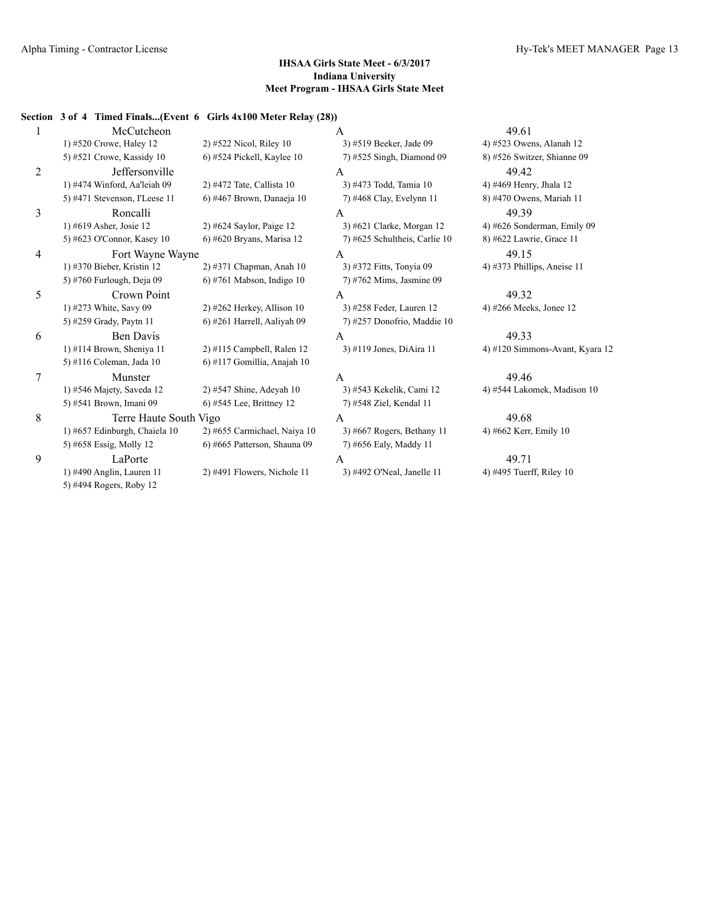## **Section 3 of 4 Timed Finals...(Event 6 Girls 4x100 Meter Relay (28))**

|   | McCutcheon                    |                              | A                             | 49.61                           |
|---|-------------------------------|------------------------------|-------------------------------|---------------------------------|
|   | 1) #520 Crowe, Haley 12       | 2) #522 Nicol, Riley 10      | 3) #519 Beeker, Jade 09       | 4) #523 Owens, Alanah 12        |
|   | 5) #521 Crowe, Kassidy 10     | 6) #524 Pickell, Kaylee 10   | 7) #525 Singh, Diamond 09     | 8) #526 Switzer, Shianne 09     |
| 2 | Jeffersonville                |                              | A                             | 49.42                           |
|   | 1) #474 Winford, Aa'leiah 09  | 2) #472 Tate, Callista 10    | 3) #473 Todd, Tamia 10        | 4) #469 Henry, Jhala 12         |
|   | 5) #471 Stevenson, I'Leese 11 | 6) #467 Brown, Danaeja 10    | 7) #468 Clay, Evelynn 11      | 8) #470 Owens, Mariah 11        |
| 3 | Roncalli                      |                              | A                             | 49.39                           |
|   | 1) #619 Asher, Josie 12       | $2)$ #624 Saylor, Paige 12   | 3) #621 Clarke, Morgan 12     | 4) #626 Sonderman, Emily 09     |
|   | 5) #623 O'Connor, Kasey 10    | 6) #620 Bryans, Marisa 12    | 7) #625 Schultheis, Carlie 10 | 8) #622 Lawrie, Grace 11        |
| 4 | Fort Wayne Wayne              |                              | A                             | 49.15                           |
|   | 1) #370 Bieber, Kristin 12    | 2) #371 Chapman, Anah 10     | 3) #372 Fitts, Tonyia 09      | 4) #373 Phillips, Aneise $11$   |
|   | 5) #760 Furlough, Deja 09     | $6$ ) #761 Mabson, Indigo 10 | 7) #762 Mims, Jasmine 09      |                                 |
| 5 | Crown Point                   |                              | A                             | 49.32                           |
|   | 1) #273 White, Savy 09        | 2) #262 Herkey, Allison 10   | 3) #258 Feder, Lauren 12      | 4) #266 Meeks, Jonee 12         |
|   | 5) #259 Grady, Paytn 11       | 6) #261 Harrell, Aaliyah 09  | 7) #257 Donofrio, Maddie 10   |                                 |
| 6 | <b>Ben Davis</b>              |                              | A                             | 49.33                           |
|   | 1) #114 Brown, Sheniya 11     | $2)$ #115 Campbell, Ralen 12 | 3) #119 Jones, DiAira 11      | 4) #120 Simmons-Avant, Kyara 12 |
|   | 5) #116 Coleman, Jada 10      | 6) #117 Gomillia, Anajah 10  |                               |                                 |
| 7 | Munster                       |                              | A                             | 49.46                           |
|   | 1) #546 Majety, Saveda 12     | 2) #547 Shine, Adeyah 10     | 3) #543 Kekelik, Cami 12      | 4) #544 Lakomek, Madison 10     |
|   | 5) #541 Brown, Imani 09       | 6) #545 Lee, Brittney 12     | 7) #548 Ziel, Kendal 11       |                                 |
| 8 | Terre Haute South Vigo        |                              | A                             | 49.68                           |
|   | 1) #657 Edinburgh, Chaiela 10 | 2) #655 Carmichael, Naiya 10 | 3) #667 Rogers, Bethany 11    | 4) #662 Kerr, Emily 10          |
|   | 5) #658 Essig, Molly 12       | 6) #665 Patterson, Shauna 09 | 7) #656 Ealy, Maddy 11        |                                 |
| 9 | LaPorte                       |                              | A                             | 49.71                           |
|   | 1) #490 Anglin, Lauren 11     | 2) #491 Flowers, Nichole 11  | 3) #492 O'Neal, Janelle 11    | 4) #495 Tuerff, Riley 10        |
|   | 5) #494 Rogers, Roby 12       |                              |                               |                                 |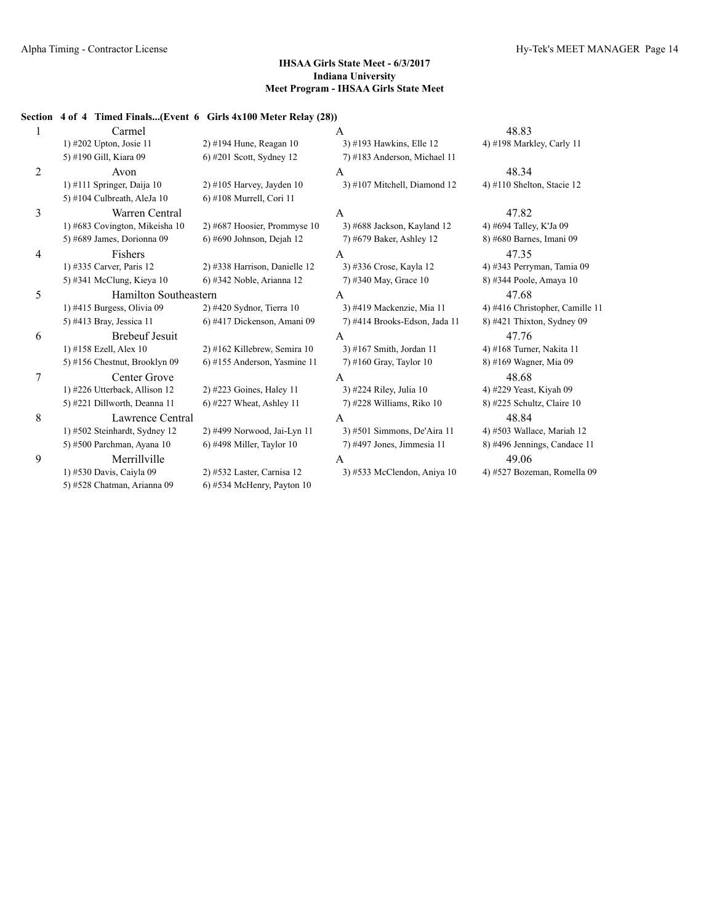## **Section 4 of 4 Timed Finals...(Event 6 Girls 4x100 Meter Relay (28))**

| 1 | Carmel                         |                                | A                              | 48.83                           |
|---|--------------------------------|--------------------------------|--------------------------------|---------------------------------|
|   | 1) #202 Upton, Josie 11        | 2) #194 Hune, Reagan 10        | 3) #193 Hawkins, Elle 12       | 4) #198 Markley, Carly 11       |
|   | 5) #190 Gill, Kiara 09         | 6) #201 Scott, Sydney 12       | 7) #183 Anderson, Michael 11   |                                 |
| 2 | Avon                           |                                | A                              | 48.34                           |
|   | 1) #111 Springer, Daija $10$   | $2)$ #105 Harvey, Jayden 10    | $3)$ #107 Mitchell, Diamond 12 | 4) #110 Shelton, Stacie 12      |
|   | 5) #104 Culbreath, AleJa 10    | 6) #108 Murrell, Cori 11       |                                |                                 |
| 3 | Warren Central                 |                                | A                              | 47.82                           |
|   | 1) #683 Covington, Mikeisha 10 | $2)$ #687 Hoosier, Prommyse 10 | 3) #688 Jackson, Kayland 12    | 4) #694 Talley, K'Ja 09         |
|   | 5) #689 James, Dorionna 09     | $6$ ) #690 Johnson, Dejah 12   | 7) #679 Baker, Ashley 12       | 8) #680 Barnes, Imani 09        |
| 4 | Fishers                        |                                | A                              | 47.35                           |
|   | 1) #335 Carver, Paris 12       | 2) #338 Harrison, Danielle 12  | 3) #336 Crose, Kayla 12        | 4) #343 Perryman, Tamia 09      |
|   | 5) #341 McClung, Kieya 10      | 6) #342 Noble, Arianna 12      | 7) #340 May, Grace 10          | 8) #344 Poole, Amaya 10         |
| 5 | <b>Hamilton Southeastern</b>   |                                | A                              | 47.68                           |
|   | 1) #415 Burgess, Olivia 09     | 2) #420 Sydnor, Tierra 10      | 3) #419 Mackenzie, Mia 11      | 4) #416 Christopher, Camille 11 |
|   | 5) #413 Bray, Jessica 11       | 6) #417 Dickenson, Amani 09    | 7) #414 Brooks-Edson, Jada 11  | 8) #421 Thixton, Sydney 09      |
| 6 | <b>Brebeuf Jesuit</b>          |                                | A                              | 47.76                           |
|   | 1) #158 Ezell, Alex 10         | 2) #162 Killebrew, Semira 10   | 3) #167 Smith, Jordan 11       | 4) #168 Turner, Nakita 11       |
|   | 5) #156 Chestnut, Brooklyn 09  | 6) #155 Anderson, Yasmine 11   | $7)$ #160 Gray, Taylor 10      | 8) #169 Wagner, Mia 09          |
| 7 | Center Grove                   |                                | $\overline{A}$                 | 48.68                           |
|   | 1) #226 Utterback, Allison 12  | 2) #223 Goines, Haley 11       | 3) #224 Riley, Julia 10        | 4) #229 Yeast, Kiyah 09         |
|   | 5) #221 Dillworth, Deanna 11   | $6$ ) #227 Wheat, Ashley 11    | 7) #228 Williams, Riko 10      | 8) #225 Schultz, Claire 10      |
| 8 | Lawrence Central               |                                | $\mathsf{A}$                   | 48.84                           |
|   | 1) #502 Steinhardt, Sydney 12  | 2) #499 Norwood, Jai-Lyn 11    | 3) #501 Simmons, De'Aira 11    | 4) #503 Wallace, Mariah 12      |
|   | 5) #500 Parchman, Ayana 10     | $6$ ) #498 Miller, Taylor 10   | 7) #497 Jones, Jimmesia 11     | 8) #496 Jennings, Candace 11    |
| 9 | Merrillville                   |                                | A                              | 49.06                           |
|   | 1) #530 Davis, Caiyla 09       | 2) #532 Laster, Carnisa 12     | 3) #533 McClendon, Aniya 10    | 4) #527 Bozeman, Romella 09     |
|   | 5) #528 Chatman, Arianna 09    | $6$ ) #534 McHenry, Payton 10  |                                |                                 |
|   |                                |                                |                                |                                 |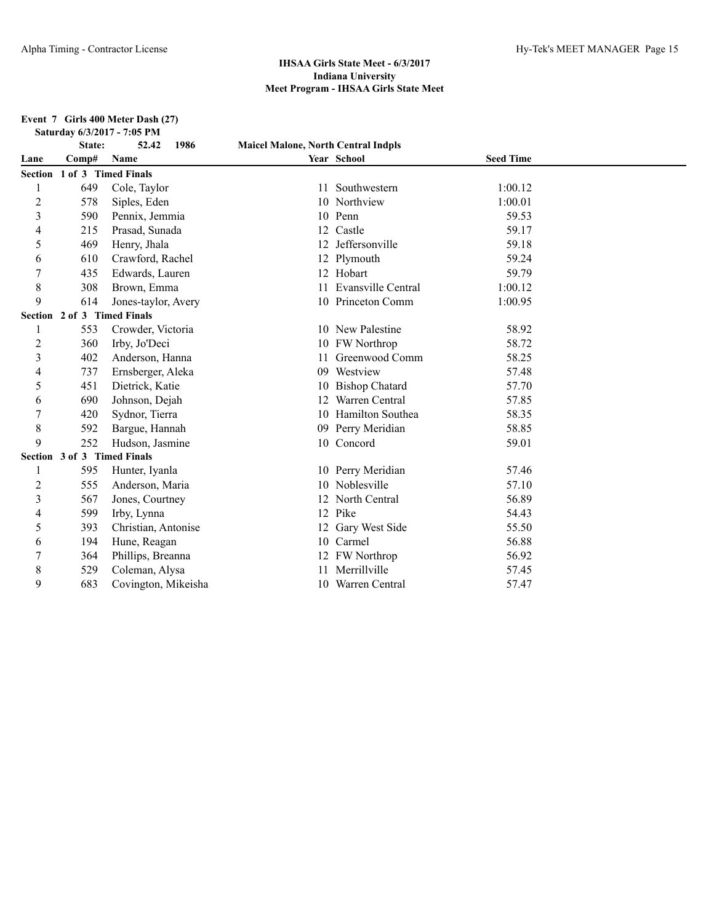**Event 7 Girls 400 Meter Dash (27) Saturday 6/3/2017 - 7:05 PM**

|                | State:                      | 1986<br>52.42       | <b>Maicel Malone, North Central Indpls</b> |                           |                  |  |
|----------------|-----------------------------|---------------------|--------------------------------------------|---------------------------|------------------|--|
| Lane           | Comp#                       | Name                |                                            | Year School               | <b>Seed Time</b> |  |
|                | Section 1 of 3 Timed Finals |                     |                                            |                           |                  |  |
|                | 649                         | Cole, Taylor        | 11                                         | Southwestern              | 1:00.12          |  |
| $\overline{2}$ | 578                         | Siples, Eden        | 10                                         | Northview                 | 1:00.01          |  |
| 3              | 590                         | Pennix, Jemmia      |                                            | 10 Penn                   | 59.53            |  |
| 4              | 215                         | Prasad, Sunada      | 12                                         | Castle                    | 59.17            |  |
| 5              | 469                         | Henry, Jhala        | 12                                         | Jeffersonville            | 59.18            |  |
| 6              | 610                         | Crawford, Rachel    |                                            | Plymouth                  | 59.24            |  |
|                | 435                         | Edwards, Lauren     |                                            | 12 Hobart                 | 59.79            |  |
| 8              | 308                         | Brown, Emma         | 11                                         | <b>Evansville Central</b> | 1:00.12          |  |
| 9              | 614                         | Jones-taylor, Avery |                                            | 10 Princeton Comm         | 1:00.95          |  |
|                | Section 2 of 3 Timed Finals |                     |                                            |                           |                  |  |
|                | 553                         | Crowder, Victoria   |                                            | 10 New Palestine          | 58.92            |  |
| $\overline{2}$ | 360                         | Irby, Jo'Deci       |                                            | 10 FW Northrop            | 58.72            |  |
| 3              | 402                         | Anderson, Hanna     |                                            | Greenwood Comm            | 58.25            |  |
| 4              | 737                         | Ernsberger, Aleka   | 09                                         | Westview                  | 57.48            |  |
| 5              | 451                         | Dietrick, Katie     | 10                                         | <b>Bishop Chatard</b>     | 57.70            |  |
| 6              | 690                         | Johnson, Dejah      |                                            | Warren Central            | 57.85            |  |
|                | 420                         | Sydnor, Tierra      |                                            | 10 Hamilton Southea       | 58.35            |  |
| 8              | 592                         | Bargue, Hannah      | 09                                         | Perry Meridian            | 58.85            |  |
| 9              | 252                         | Hudson, Jasmine     |                                            | 10 Concord                | 59.01            |  |
|                | Section 3 of 3 Timed Finals |                     |                                            |                           |                  |  |
|                | 595                         | Hunter, Iyanla      |                                            | 10 Perry Meridian         | 57.46            |  |
| 2              | 555                         | Anderson, Maria     |                                            | Noblesville               | 57.10            |  |
| 3              | 567                         | Jones, Courtney     |                                            | North Central             | 56.89            |  |
| 4              | 599                         | Irby, Lynna         |                                            | 12 Pike                   | 54.43            |  |
| 5              | 393                         | Christian, Antonise |                                            | Gary West Side            | 55.50            |  |
| 6              | 194                         | Hune, Reagan        |                                            | 10 Carmel                 | 56.88            |  |
| 7              | 364                         | Phillips, Breanna   |                                            | 12 FW Northrop            | 56.92            |  |
| 8              | 529                         | Coleman, Alysa      |                                            | Merrillville              | 57.45            |  |
| 9              | 683                         | Covington, Mikeisha |                                            | 10 Warren Central         | 57.47            |  |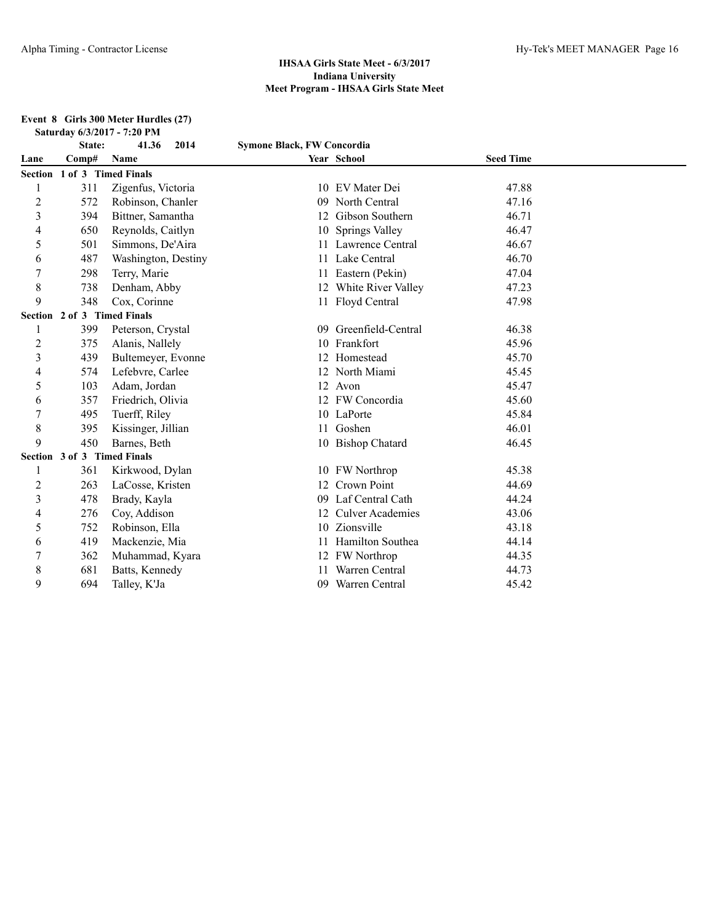#### **Event 8 Girls 300 Meter Hurdles (27) Saturday 6/3/2017 - 7:20 PM**

|                | State:                      | 41.36<br>2014       | <b>Symone Black, FW Concordia</b> |                         |                  |  |
|----------------|-----------------------------|---------------------|-----------------------------------|-------------------------|------------------|--|
| Lane           | Comp#                       | Name                |                                   | Year School             | <b>Seed Time</b> |  |
|                | Section 1 of 3 Timed Finals |                     |                                   |                         |                  |  |
|                | 311                         | Zigenfus, Victoria  |                                   | 10 EV Mater Dei         | 47.88            |  |
| $\overline{c}$ | 572                         | Robinson, Chanler   | 09                                | North Central           | 47.16            |  |
| 3              | 394                         | Bittner, Samantha   |                                   | 12 Gibson Southern      | 46.71            |  |
| 4              | 650                         | Reynolds, Caitlyn   | 10                                | <b>Springs Valley</b>   | 46.47            |  |
| 5              | 501                         | Simmons, De'Aira    |                                   | 11 Lawrence Central     | 46.67            |  |
| 6              | 487                         | Washington, Destiny |                                   | 11 Lake Central         | 46.70            |  |
| 7              | 298                         | Terry, Marie        |                                   | 11 Eastern (Pekin)      | 47.04            |  |
| 8              | 738                         | Denham, Abby        |                                   | 12 White River Valley   | 47.23            |  |
| 9              | 348                         | Cox, Corinne        |                                   | 11 Floyd Central        | 47.98            |  |
|                | Section 2 of 3 Timed Finals |                     |                                   |                         |                  |  |
|                | 399                         | Peterson, Crystal   | 09                                | Greenfield-Central      | 46.38            |  |
| $\overline{2}$ | 375                         | Alanis, Nallely     | 10                                | Frankfort               | 45.96            |  |
| 3              | 439                         | Bultemeyer, Evonne  |                                   | Homestead               | 45.70            |  |
| 4              | 574                         | Lefebvre, Carlee    |                                   | 12 North Miami          | 45.45            |  |
| 5              | 103                         | Adam, Jordan        |                                   | 12 Avon                 | 45.47            |  |
| 6              | 357                         | Friedrich, Olivia   |                                   | 12 FW Concordia         | 45.60            |  |
|                | 495                         | Tuerff, Riley       |                                   | 10 LaPorte              | 45.84            |  |
| 8              | 395                         | Kissinger, Jillian  | 11                                | Goshen                  | 46.01            |  |
| 9              | 450                         | Barnes, Beth        |                                   | 10 Bishop Chatard       | 46.45            |  |
|                | Section 3 of 3 Timed Finals |                     |                                   |                         |                  |  |
|                | 361                         | Kirkwood, Dylan     | 10                                | <b>FW</b> Northrop      | 45.38            |  |
| 2              | 263                         | LaCosse, Kristen    | 12                                | <b>Crown Point</b>      | 44.69            |  |
| 3              | 478                         | Brady, Kayla        | 09                                | Laf Central Cath        | 44.24            |  |
| 4              | 276                         | Coy, Addison        |                                   | <b>Culver Academies</b> | 43.06            |  |
| 5              | 752                         | Robinson, Ella      |                                   | 10 Zionsville           | 43.18            |  |
| 6              | 419                         | Mackenzie, Mia      |                                   | Hamilton Southea        | 44.14            |  |
|                | 362                         | Muhammad, Kyara     |                                   | FW Northrop             | 44.35            |  |
| 8              | 681                         | Batts, Kennedy      |                                   | Warren Central          | 44.73            |  |
| 9              | 694                         | Talley, K'Ja        | 09                                | Warren Central          | 45.42            |  |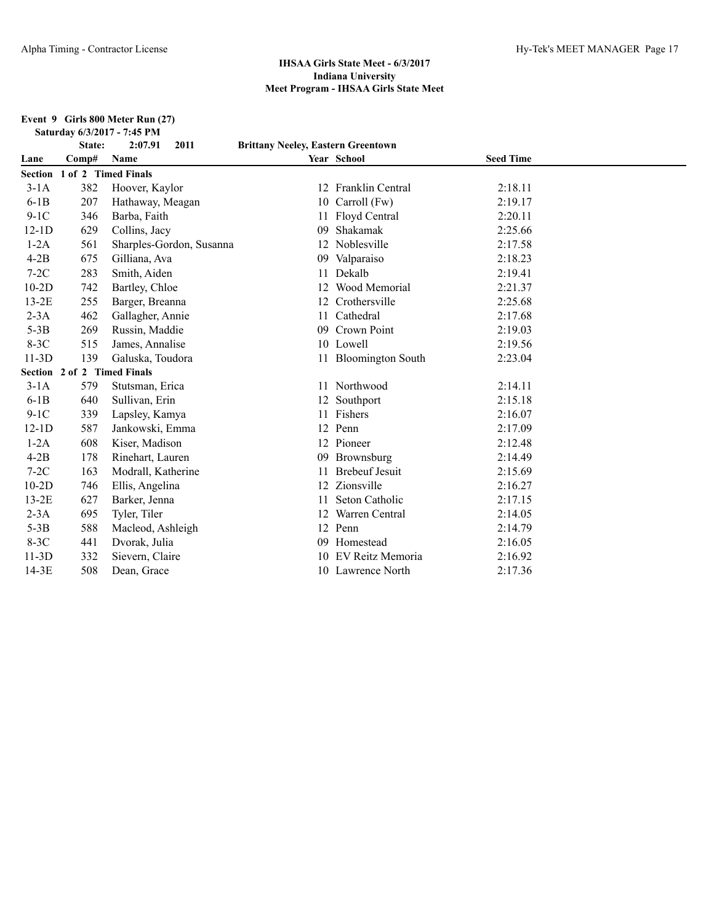#### **Event 9 Girls 800 Meter Run (27) Saturday 6/3/2017 - 7:45 PM**

|         | State:                      | 2011<br>2:07.91          | <b>Brittany Neeley, Eastern Greentown</b> |                         |                  |  |
|---------|-----------------------------|--------------------------|-------------------------------------------|-------------------------|------------------|--|
| Lane    | Comp#                       | Name                     |                                           | Year School             | <b>Seed Time</b> |  |
| Section | 1 of 2 Timed Finals         |                          |                                           |                         |                  |  |
| $3-1A$  | 382                         | Hoover, Kaylor           | 12                                        | <b>Franklin Central</b> | 2:18.11          |  |
| $6-1B$  | 207                         | Hathaway, Meagan         | 10                                        | Carroll (Fw)            | 2:19.17          |  |
| $9-1C$  | 346                         | Barba, Faith             |                                           | 11 Floyd Central        | 2:20.11          |  |
| $12-1D$ | 629                         | Collins, Jacy            | 09                                        | Shakamak                | 2:25.66          |  |
| $1-2A$  | 561                         | Sharples-Gordon, Susanna | 12                                        | Noblesville             | 2:17.58          |  |
| $4-2B$  | 675                         | Gilliana, Ava            | 09                                        | Valparaiso              | 2:18.23          |  |
| $7-2C$  | 283                         | Smith, Aiden             | 11                                        | Dekalb                  | 2:19.41          |  |
| $10-2D$ | 742                         | Bartley, Chloe           | 12                                        | Wood Memorial           | 2:21.37          |  |
| $13-2E$ | 255                         | Barger, Breanna          | 12                                        | Crothersville           | 2:25.68          |  |
| $2-3A$  | 462                         | Gallagher, Annie         | 11                                        | Cathedral               | 2:17.68          |  |
| $5-3B$  | 269                         | Russin, Maddie           | 09                                        | Crown Point             | 2:19.03          |  |
| $8-3C$  | 515                         | James, Annalise          |                                           | 10 Lowell               | 2:19.56          |  |
| $11-3D$ | 139                         | Galuska, Toudora         |                                           | 11 Bloomington South    | 2:23.04          |  |
|         | Section 2 of 2 Timed Finals |                          |                                           |                         |                  |  |
| $3-1A$  | 579                         | Stutsman, Erica          |                                           | 11 Northwood            | 2:14.11          |  |
| $6-1B$  | 640                         | Sullivan, Erin           | 12                                        | Southport               | 2:15.18          |  |
| $9-1C$  | 339                         | Lapsley, Kamya           |                                           | Fishers                 | 2:16.07          |  |
| $12-1D$ | 587                         | Jankowski, Emma          |                                           | 12 Penn                 | 2:17.09          |  |
| $1-2A$  | 608                         | Kiser, Madison           |                                           | 12 Pioneer              | 2:12.48          |  |
| $4-2B$  | 178                         | Rinehart, Lauren         | 09                                        | Brownsburg              | 2:14.49          |  |
| $7-2C$  | 163                         | Modrall, Katherine       |                                           | <b>Brebeuf Jesuit</b>   | 2:15.69          |  |
| $10-2D$ | 746                         | Ellis, Angelina          |                                           | Zionsville              | 2:16.27          |  |
| $13-2E$ | 627                         | Barker, Jenna            |                                           | Seton Catholic          | 2:17.15          |  |
| $2-3A$  | 695                         | Tyler, Tiler             | 12                                        | Warren Central          | 2:14.05          |  |
| $5-3B$  | 588                         | Macleod, Ashleigh        | 12                                        | Penn                    | 2:14.79          |  |
| $8-3C$  | 441                         | Dvorak, Julia            | 09                                        | Homestead               | 2:16.05          |  |
| $11-3D$ | 332                         | Sievern, Claire          |                                           | EV Reitz Memoria        | 2:16.92          |  |
| $14-3E$ | 508                         | Dean, Grace              |                                           | 10 Lawrence North       | 2:17.36          |  |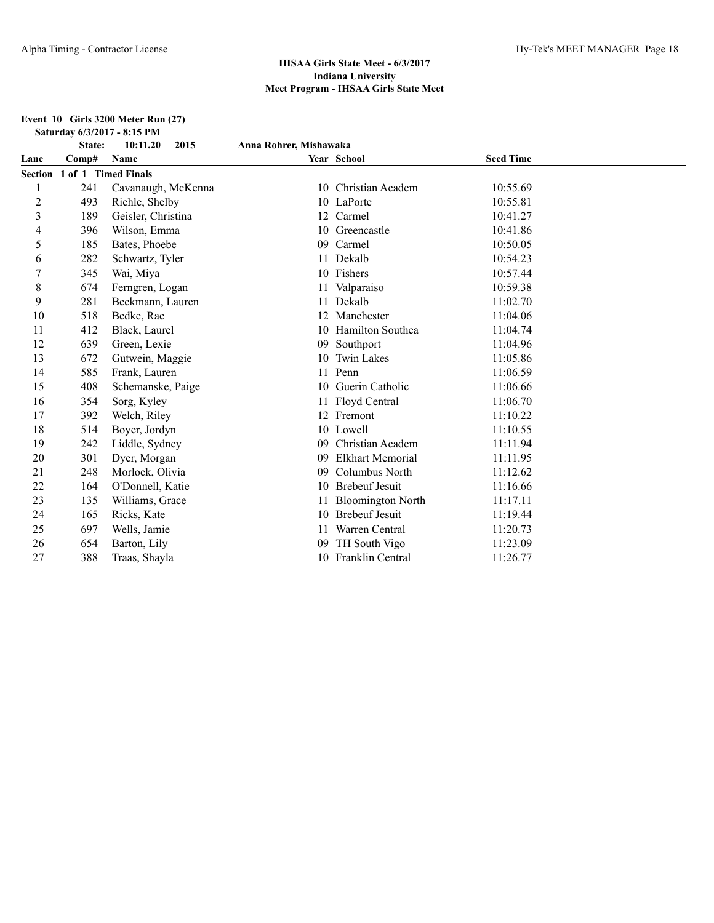#### **Event 10 Girls 3200 Meter Run (27) Saturday 6/3/2017 - 8:15 PM**

|                | State:                      | 10:11.20<br>2015   | Anna Rohrer, Mishawaka |                          |                  |  |
|----------------|-----------------------------|--------------------|------------------------|--------------------------|------------------|--|
| Lane           | Comp#                       | Name               |                        | Year School              | <b>Seed Time</b> |  |
|                | Section 1 of 1 Timed Finals |                    |                        |                          |                  |  |
|                | 241                         | Cavanaugh, McKenna | 10                     | Christian Academ         | 10:55.69         |  |
| $\overline{c}$ | 493                         | Riehle, Shelby     |                        | 10 LaPorte               | 10:55.81         |  |
| 3              | 189                         | Geisler, Christina | 12                     | Carmel                   | 10:41.27         |  |
| 4              | 396                         | Wilson, Emma       | 10                     | Greencastle              | 10:41.86         |  |
| 5              | 185                         | Bates, Phoebe      | 09                     | Carmel                   | 10:50.05         |  |
| 6              | 282                         | Schwartz, Tyler    | 11                     | Dekalb                   | 10:54.23         |  |
|                | 345                         | Wai, Miya          |                        | 10 Fishers               | 10:57.44         |  |
| 8              | 674                         | Ferngren, Logan    | 11                     | Valparaiso               | 10:59.38         |  |
| 9              | 281                         | Beckmann, Lauren   |                        | Dekalb                   | 11:02.70         |  |
| 10             | 518                         | Bedke, Rae         | 12                     | Manchester               | 11:04.06         |  |
| 11             | 412                         | Black, Laurel      |                        | 10 Hamilton Southea      | 11:04.74         |  |
| 12             | 639                         | Green, Lexie       | 09                     | Southport                | 11:04.96         |  |
| 13             | 672                         | Gutwein, Maggie    | 10                     | <b>Twin Lakes</b>        | 11:05.86         |  |
| 14             | 585                         | Frank, Lauren      | 11                     | Penn                     | 11:06.59         |  |
| 15             | 408                         | Schemanske, Paige  | 10                     | Guerin Catholic          | 11:06.66         |  |
| 16             | 354                         | Sorg, Kyley        | 11                     | Floyd Central            | 11:06.70         |  |
| 17             | 392                         | Welch, Riley       | 12                     | Fremont                  | 11:10.22         |  |
| 18             | 514                         | Boyer, Jordyn      |                        | 10 Lowell                | 11:10.55         |  |
| 19             | 242                         | Liddle, Sydney     | 09                     | Christian Academ         | 11:11.94         |  |
| 20             | 301                         | Dyer, Morgan       | 09                     | <b>Elkhart Memorial</b>  | 11:11.95         |  |
| 21             | 248                         | Morlock, Olivia    | 09                     | Columbus North           | 11:12.62         |  |
| 22             | 164                         | O'Donnell, Katie   | 10                     | <b>Brebeuf Jesuit</b>    | 11:16.66         |  |
| 23             | 135                         | Williams, Grace    |                        | <b>Bloomington North</b> | 11:17.11         |  |
| 24             | 165                         | Ricks, Kate        | 10                     | <b>Brebeuf Jesuit</b>    | 11:19.44         |  |
| 25             | 697                         | Wells, Jamie       |                        | Warren Central           | 11:20.73         |  |
| 26             | 654                         | Barton, Lily       | 09                     | TH South Vigo            | 11:23.09         |  |
| 27             | 388                         | Traas, Shayla      |                        | 10 Franklin Central      | 11:26.77         |  |
|                |                             |                    |                        |                          |                  |  |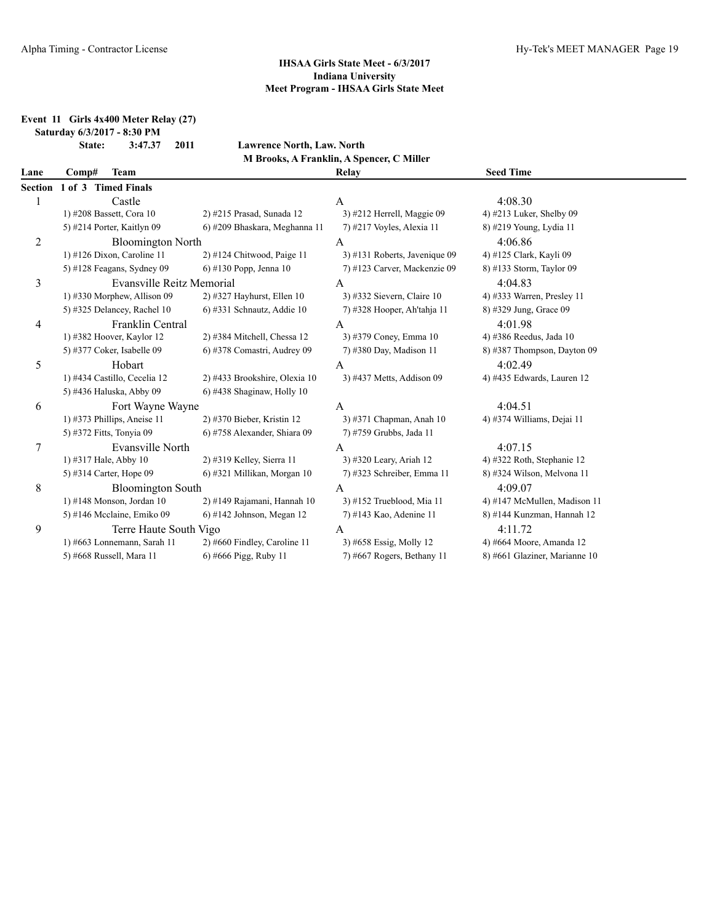**Event 11 Girls 4x400 Meter Relay (27)**

**Saturday 6/3/2017 - 8:30 PM**

**State: 3:47.37 2011 Lawrence North, Law. North M Brooks, A Franklin, A Spencer, C Miller**

| Lane           | Comp#                    | <b>Team</b>                   |                                | Relay                         | <b>Seed Time</b>              |
|----------------|--------------------------|-------------------------------|--------------------------------|-------------------------------|-------------------------------|
| <b>Section</b> | 1 of 3 Timed Finals      |                               |                                |                               |                               |
|                |                          | Castle                        |                                | A                             | 4:08.30                       |
|                |                          | 1) #208 Bassett, Cora 10      | 2) #215 Prasad, Sunada 12      | 3) #212 Herrell, Maggie 09    | 4) #213 Luker, Shelby 09      |
|                |                          | 5) #214 Porter, Kaitlyn 09    | 6) #209 Bhaskara, Meghanna 11  | 7) #217 Voyles, Alexia 11     | 8) #219 Young, Lydia 11       |
| 2              |                          | <b>Bloomington North</b>      |                                | A                             | 4:06.86                       |
|                |                          | 1) #126 Dixon, Caroline 11    | $2)$ #124 Chitwood, Paige 11   | 3) #131 Roberts, Javenique 09 | 4) #125 Clark, Kayli 09       |
|                |                          | 5) #128 Feagans, Sydney 09    | 6) #130 Popp, Jenna $10$       | 7) #123 Carver, Mackenzie 09  | 8) #133 Storm, Taylor 09      |
| 3              |                          | Evansville Reitz Memorial     |                                | A                             | 4:04.83                       |
|                |                          | 1) #330 Morphew, Allison 09   | $2)$ #327 Hayhurst, Ellen 10   | 3) #332 Sievern, Claire 10    | 4) #333 Warren, Presley 11    |
|                |                          | 5) #325 Delancey, Rachel $10$ | 6) #331 Schnautz, Addie 10     | 7) #328 Hooper, Ah'tahja 11   | 8) #329 Jung, Grace 09        |
| 4              |                          | <b>Franklin Central</b>       |                                | A                             | 4:01.98                       |
|                |                          | 1) #382 Hoover, Kaylor 12     | 2) #384 Mitchell, Chessa 12    | 3) #379 Coney, Emma 10        | 4) #386 Reedus, Jada 10       |
|                |                          | 5) #377 Coker, Isabelle 09    | 6) #378 Comastri, Audrey 09    | 7) #380 Day, Madison 11       | 8) #387 Thompson, Dayton 09   |
| 5              |                          | Hobart                        |                                | A                             | 4:02.49                       |
|                |                          | 1) #434 Castillo, Cecelia 12  | 2) #433 Brookshire, Olexia 10  | 3) #437 Metts, Addison 09     | 4) #435 Edwards, Lauren 12    |
|                |                          | 5) #436 Haluska, Abby 09      | 6) #438 Shaginaw, Holly 10     |                               |                               |
| 6              |                          | Fort Wayne Wayne              |                                | A                             | 4:04.51                       |
|                |                          | 1) #373 Phillips, Aneise $11$ | 2) #370 Bieber, Kristin 12     | 3) #371 Chapman, Anah 10      | 4) #374 Williams, Dejai 11    |
|                | 5) #372 Fitts, Tonyia 09 |                               | 6) #758 Alexander, Shiara 09   | 7) #759 Grubbs, Jada 11       |                               |
| 7              |                          | Evansville North              |                                | A                             | 4:07.15                       |
|                | 1) #317 Hale, Abby 10    |                               | 2) #319 Kelley, Sierra 11      | 3) #320 Leary, Ariah 12       | 4) #322 Roth, Stephanie 12    |
|                |                          | 5) #314 Carter, Hope 09       | 6) #321 Millikan, Morgan 10    | 7) #323 Schreiber, Emma 11    | 8) #324 Wilson, Melvona 11    |
| 8              |                          | <b>Bloomington South</b>      |                                | A                             | 4:09.07                       |
|                |                          | 1) #148 Monson, Jordan 10     | 2) #149 Rajamani, Hannah 10    | 3) #152 Trueblood, Mia 11     | 4) #147 McMullen, Madison 11  |
|                |                          | 5) #146 Mcclaine, Emiko 09    | $6$ ) #142 Johnson, Megan 12   | 7) #143 Kao, Adenine 11       | 8) #144 Kunzman, Hannah 12    |
| 9              |                          | Terre Haute South Vigo        |                                | A                             | 4:11.72                       |
|                |                          | 1) #663 Lonnemann, Sarah 11   | $2)$ #660 Findley, Caroline 11 | 3) #658 Essig, Molly 12       | 4) #664 Moore, Amanda 12      |
|                |                          | 5) #668 Russell, Mara 11      | 6) #666 Pigg, Ruby 11          | 7) #667 Rogers, Bethany 11    | 8) #661 Glaziner, Marianne 10 |
|                |                          |                               |                                |                               |                               |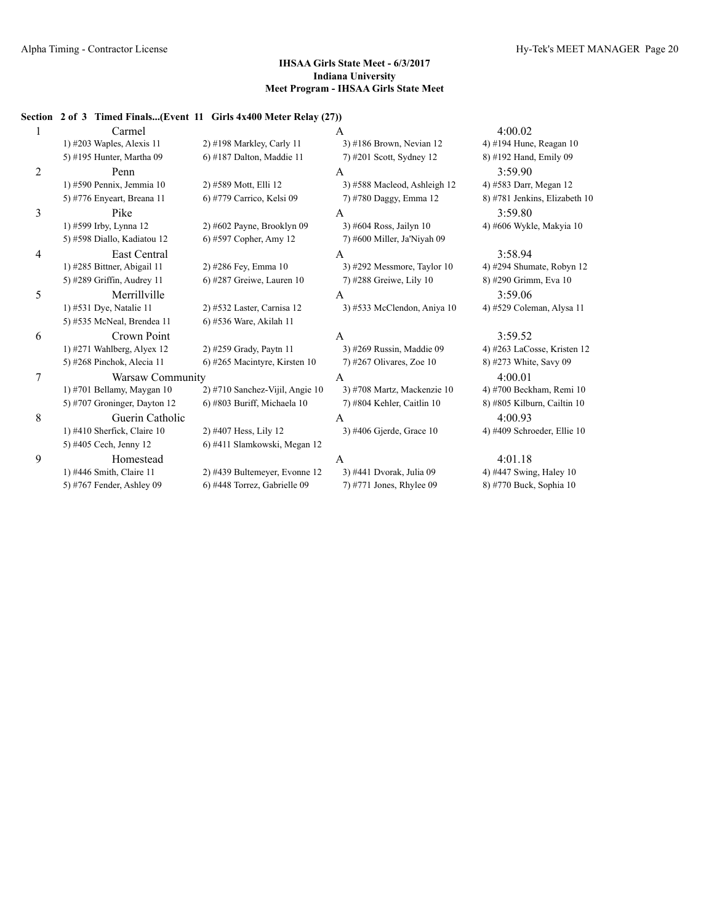## **Section 2 of 3 Timed Finals...(Event 11 Girls 4x400 Meter Relay (27))**

|   | Carmel                       |                                 | A                             | 4:00.02                       |
|---|------------------------------|---------------------------------|-------------------------------|-------------------------------|
|   | 1) $\#203$ Waples, Alexis 11 | $2)$ #198 Markley, Carly 11     | 3) #186 Brown, Nevian 12      | 4) #194 Hune, Reagan 10       |
|   | 5) #195 Hunter, Martha 09    | $6$ ) #187 Dalton, Maddie 11    | 7) #201 Scott, Sydney 12      | 8) #192 Hand, Emily 09        |
| 2 | Penn                         |                                 | A                             | 3:59.90                       |
|   | 1) #590 Pennix, Jemmia 10    | 2) #589 Mott, Elli 12           | 3) #588 Macleod, Ashleigh 12  | 4) #583 Darr, Megan 12        |
|   | 5) #776 Enyeart, Breana 11   | 6) #779 Carrico, Kelsi 09       | 7) #780 Daggy, Emma 12        | 8) #781 Jenkins, Elizabeth 10 |
| 3 | Pike                         |                                 | A                             | 3:59.80                       |
|   | 1) #599 Irby, Lynna 12       | $2)$ #602 Payne, Brooklyn 09    | 3) #604 Ross, Jailyn 10       | 4) #606 Wykle, Makyia 10      |
|   | 5) #598 Diallo, Kadiatou 12  | 6) #597 Copher, Amy 12          | 7) #600 Miller, Ja'Niyah 09   |                               |
| 4 | <b>East Central</b>          |                                 | A                             | 3:58.94                       |
|   | 1) #285 Bittner, Abigail 11  | 2) #286 Fey, Emma 10            | 3) #292 Messmore, Taylor $10$ | 4) #294 Shumate, Robyn 12     |
|   | 5) #289 Griffin, Audrey 11   | 6) #287 Greiwe, Lauren $10$     | 7) #288 Greiwe, Lily 10       | 8) #290 Grimm, Eva 10         |
| 5 | Merrillville                 |                                 | A                             | 3:59.06                       |
|   | 1) #531 Dye, Natalie 11      | 2) #532 Laster, Carnisa 12      | 3) #533 McClendon, Aniya 10   | 4) #529 Coleman, Alysa 11     |
|   | 5) #535 McNeal, Brendea 11   | 6) #536 Ware, Akilah 11         |                               |                               |
| 6 | Crown Point                  |                                 | A                             | 3:59.52                       |
|   | 1) $#271$ Wahlberg, Alyex 12 | 2) #259 Grady, Paytn 11         | 3) #269 Russin, Maddie 09     | 4) #263 LaCosse, Kristen 12   |
|   | 5) #268 Pinchok, Alecia 11   | 6) #265 Macintyre, Kirsten 10   | $7)$ #267 Olivares, Zoe 10    | 8) #273 White, Savy 09        |
| 7 | Warsaw Community             |                                 | A                             | 4:00.01                       |
|   | 1) #701 Bellamy, Maygan 10   | 2) #710 Sanchez-Vijil, Angie 10 | 3) #708 Martz, Mackenzie 10   | 4) #700 Beckham, Remi 10      |
|   | 5) #707 Groninger, Dayton 12 | 6) #803 Buriff, Michaela 10     | 7) #804 Kehler, Caitlin 10    | 8) #805 Kilburn, Cailtin 10   |
| 8 | Guerin Catholic              |                                 | A                             | 4:00.93                       |
|   | 1) #410 Sherfick, Claire 10  | 2) #407 Hess, Lily 12           | 3) #406 Gjerde, Grace 10      | 4) #409 Schroeder, Ellie 10   |
|   | 5) #405 Cech, Jenny 12       | 6) #411 Slamkowski, Megan 12    |                               |                               |
| 9 | Homestead                    |                                 | A                             | 4:01.18                       |
|   | 1) #446 Smith, Claire 11     | 2) #439 Bultemeyer, Evonne 12   | 3) #441 Dvorak, Julia 09      | 4) #447 Swing, Haley 10       |
|   | 5) #767 Fender, Ashley 09    | 6) #448 Torrez, Gabrielle 09    | 7) #771 Jones, Rhylee 09      | 8) #770 Buck, Sophia 10       |
|   |                              |                                 |                               |                               |